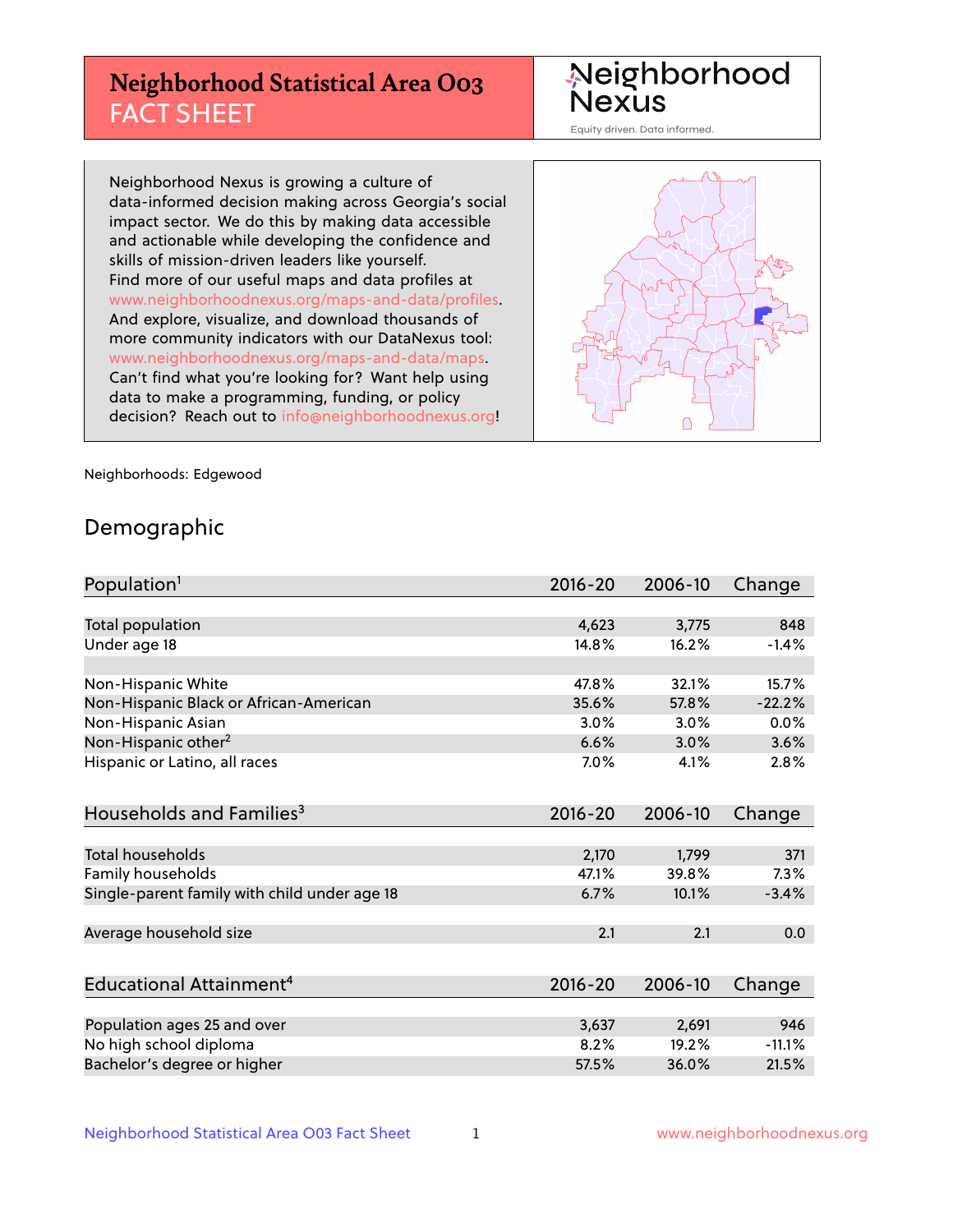# **Neighborhood Statistical Area O03** FACT SHEET

Neighborhood<br>Nexus

Equity driven. Data informed.

Neighborhood Nexus is growing a culture of data-informed decision making across Georgia's social impact sector. We do this by making data accessible and actionable while developing the confidence and skills of mission-driven leaders like yourself. Find more of our useful maps and data profiles at www.neighborhoodnexus.org/maps-and-data/profiles. And explore, visualize, and download thousands of more community indicators with our DataNexus tool: www.neighborhoodnexus.org/maps-and-data/maps. Can't find what you're looking for? Want help using data to make a programming, funding, or policy decision? Reach out to [info@neighborhoodnexus.org!](mailto:info@neighborhoodnexus.org)



Neighborhoods: Edgewood

### Demographic

| Population <sup>1</sup>                      | $2016 - 20$ | 2006-10 | Change   |
|----------------------------------------------|-------------|---------|----------|
|                                              |             |         |          |
| Total population                             | 4,623       | 3,775   | 848      |
| Under age 18                                 | 14.8%       | 16.2%   | $-1.4%$  |
|                                              |             |         |          |
| Non-Hispanic White                           | 47.8%       | 32.1%   | 15.7%    |
| Non-Hispanic Black or African-American       | 35.6%       | 57.8%   | $-22.2%$ |
| Non-Hispanic Asian                           | 3.0%        | 3.0%    | 0.0%     |
| Non-Hispanic other <sup>2</sup>              | 6.6%        | 3.0%    | 3.6%     |
| Hispanic or Latino, all races                | 7.0%        | 4.1%    | 2.8%     |
|                                              |             |         |          |
| Households and Families <sup>3</sup>         | $2016 - 20$ | 2006-10 | Change   |
|                                              |             |         |          |
| Total households                             | 2,170       | 1,799   | 371      |
| Family households                            | 47.1%       | 39.8%   | 7.3%     |
| Single-parent family with child under age 18 | 6.7%        | 10.1%   | $-3.4%$  |
|                                              |             |         |          |
| Average household size                       | 2.1         | 2.1     | 0.0      |
|                                              |             |         |          |
| Educational Attainment <sup>4</sup>          | $2016 - 20$ | 2006-10 | Change   |
|                                              |             |         |          |
| Population ages 25 and over                  | 3,637       | 2,691   | 946      |
| No high school diploma                       | 8.2%        | 19.2%   | $-11.1%$ |
| Bachelor's degree or higher                  | 57.5%       | 36.0%   | 21.5%    |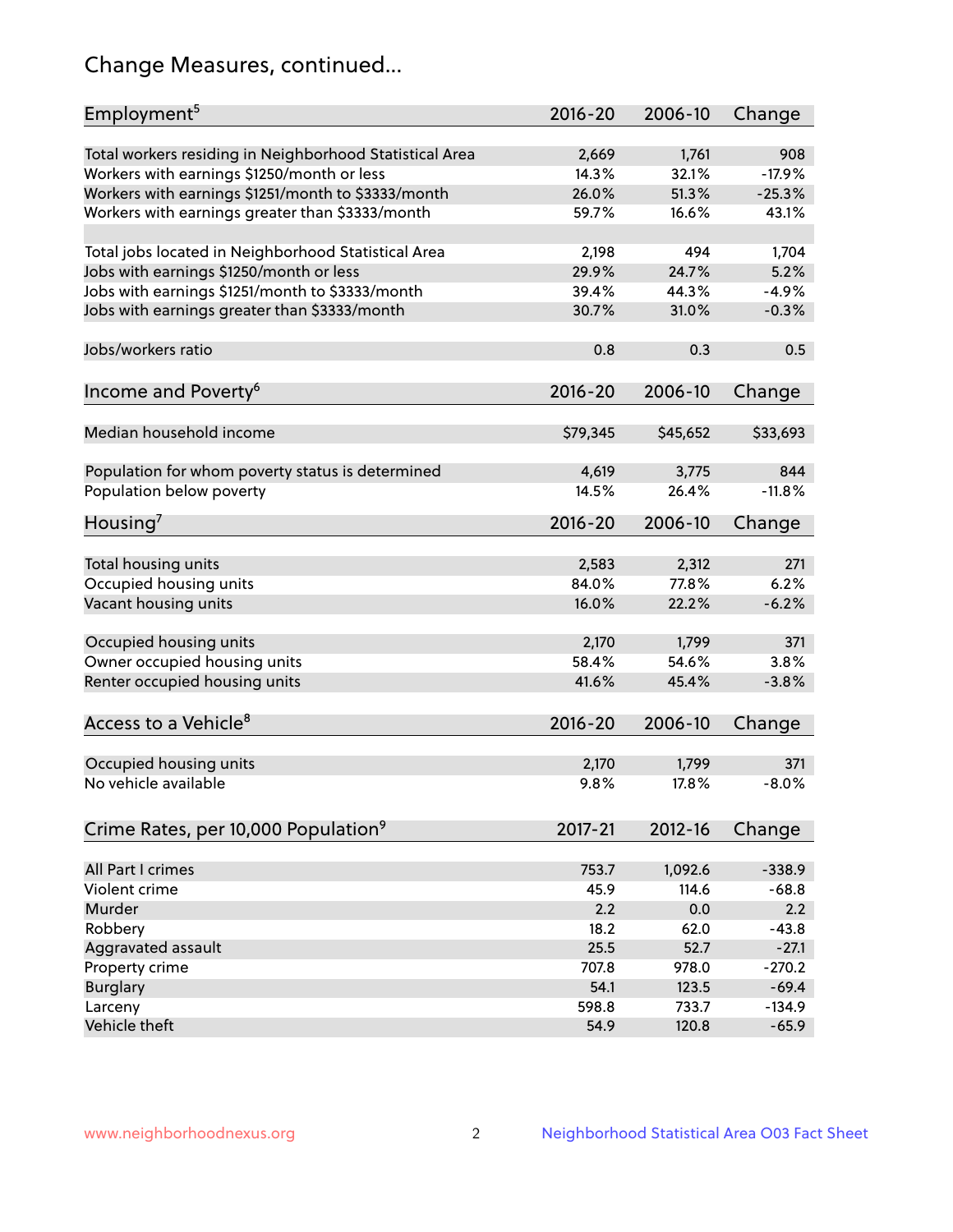# Change Measures, continued...

| Employment <sup>5</sup>                                                                               | $2016 - 20$    | 2006-10        | Change          |
|-------------------------------------------------------------------------------------------------------|----------------|----------------|-----------------|
|                                                                                                       |                |                |                 |
| Total workers residing in Neighborhood Statistical Area                                               | 2,669<br>14.3% | 1,761<br>32.1% | 908<br>$-17.9%$ |
| Workers with earnings \$1250/month or less                                                            | 26.0%          | 51.3%          | $-25.3%$        |
| Workers with earnings \$1251/month to \$3333/month<br>Workers with earnings greater than \$3333/month | 59.7%          | 16.6%          | 43.1%           |
|                                                                                                       |                |                |                 |
| Total jobs located in Neighborhood Statistical Area                                                   | 2,198          | 494            | 1,704           |
| Jobs with earnings \$1250/month or less                                                               | 29.9%          | 24.7%          | 5.2%            |
| Jobs with earnings \$1251/month to \$3333/month                                                       | 39.4%          | 44.3%          | $-4.9%$         |
| Jobs with earnings greater than \$3333/month                                                          | 30.7%          | 31.0%          | $-0.3%$         |
|                                                                                                       |                |                |                 |
| Jobs/workers ratio                                                                                    | 0.8            | 0.3            | 0.5             |
|                                                                                                       |                |                |                 |
| Income and Poverty <sup>6</sup>                                                                       | 2016-20        | 2006-10        | Change          |
|                                                                                                       |                |                |                 |
| Median household income                                                                               | \$79,345       | \$45,652       | \$33,693        |
|                                                                                                       |                |                |                 |
| Population for whom poverty status is determined                                                      | 4,619          | 3,775          | 844             |
| Population below poverty                                                                              | 14.5%          | 26.4%          | $-11.8%$        |
|                                                                                                       |                |                |                 |
| Housing <sup>7</sup>                                                                                  | 2016-20        | 2006-10        | Change          |
|                                                                                                       |                |                |                 |
| Total housing units                                                                                   | 2,583          | 2,312          | 271             |
| Occupied housing units                                                                                | 84.0%          | 77.8%          | 6.2%            |
| Vacant housing units                                                                                  | 16.0%          | 22.2%          | $-6.2%$         |
|                                                                                                       |                |                |                 |
| Occupied housing units                                                                                | 2,170          | 1,799          | 371             |
| Owner occupied housing units                                                                          | 58.4%          | 54.6%          | 3.8%            |
| Renter occupied housing units                                                                         | 41.6%          | 45.4%          | $-3.8%$         |
|                                                                                                       |                |                |                 |
| Access to a Vehicle <sup>8</sup>                                                                      | $2016 - 20$    | 2006-10        | Change          |
|                                                                                                       |                |                |                 |
| Occupied housing units                                                                                | 2,170          | 1,799          | 371             |
| No vehicle available                                                                                  | 9.8%           | 17.8%          | $-8.0%$         |
|                                                                                                       |                |                |                 |
| Crime Rates, per 10,000 Population <sup>9</sup>                                                       | 2017-21        | 2012-16        | Change          |
|                                                                                                       |                |                |                 |
| All Part I crimes                                                                                     | 753.7          | 1,092.6        | $-338.9$        |
| Violent crime                                                                                         | 45.9           | 114.6          | $-68.8$         |
| Murder                                                                                                | 2.2            | 0.0            | 2.2             |
| Robbery                                                                                               | 18.2           | 62.0           | $-43.8$         |
| Aggravated assault                                                                                    | 25.5           | 52.7           | $-27.1$         |
| Property crime                                                                                        | 707.8          | 978.0          | $-270.2$        |
| <b>Burglary</b>                                                                                       | 54.1           | 123.5          | $-69.4$         |
| Larceny                                                                                               | 598.8          | 733.7          | $-134.9$        |
| Vehicle theft                                                                                         | 54.9           | 120.8          | $-65.9$         |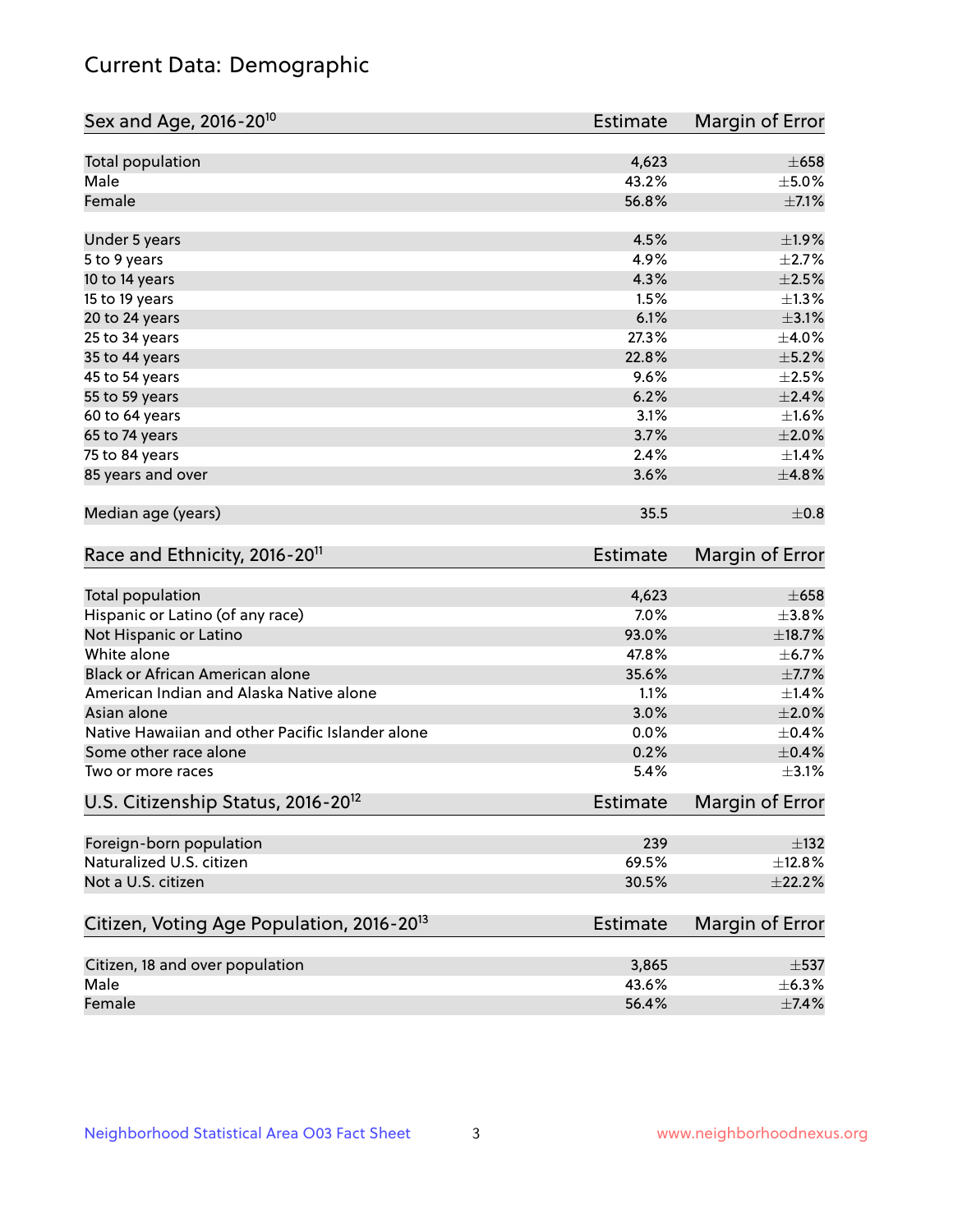# Current Data: Demographic

| Total population<br>4,623<br>Male<br>43.2%<br>$\pm$ 5.0%<br>Female<br>56.8%<br>$\pm$ 7.1%<br>4.5%<br>±1.9%<br>Under 5 years<br>4.9%<br>$\pm 2.7\%$<br>5 to 9 years<br>4.3%<br>$\pm 2.5\%$<br>10 to 14 years<br>1.5%<br>$\pm 1.3\%$<br>15 to 19 years<br>6.1%<br>$\pm$ 3.1%<br>20 to 24 years<br>27.3%<br>$\pm$ 4.0%<br>25 to 34 years<br>$\pm$ 5.2%<br>35 to 44 years<br>22.8%<br>9.6%<br>$\pm 2.5\%$<br>45 to 54 years<br>$\pm 2.4\%$<br>55 to 59 years<br>6.2%<br>3.1%<br>±1.6%<br>60 to 64 years<br>3.7%<br>$\pm 2.0\%$<br>65 to 74 years<br>75 to 84 years<br>2.4%<br>$\pm$ 1.4%<br>$\pm 4.8\%$<br>85 years and over<br>3.6%<br>Median age (years)<br>35.5<br>Race and Ethnicity, 2016-20 <sup>11</sup><br><b>Estimate</b><br>Total population<br>4,623<br>$\pm 658$<br>Hispanic or Latino (of any race)<br>7.0%<br>$\pm 3.8\%$<br>93.0%<br>±18.7%<br>Not Hispanic or Latino<br>White alone<br>47.8%<br>$\pm$ 6.7%<br>Black or African American alone<br>35.6%<br>$\pm$ 7.7%<br>American Indian and Alaska Native alone<br>1.1%<br>±1.4%<br>3.0%<br>$\pm 2.0\%$<br>Asian alone<br>Native Hawaiian and other Pacific Islander alone<br>$\pm$ 0.4%<br>0.0%<br>0.2%<br>$\pm$ 0.4%<br>Some other race alone<br>5.4%<br>Two or more races<br>U.S. Citizenship Status, 2016-20 <sup>12</sup><br><b>Estimate</b><br>Foreign-born population<br>239<br>$\pm$ 132<br>Naturalized U.S. citizen<br>69.5%<br>±12.8%<br>Not a U.S. citizen<br>30.5%<br>Citizen, Voting Age Population, 2016-20 <sup>13</sup><br><b>Estimate</b><br>Margin of Error<br>Citizen, 18 and over population<br>3,865<br>$\pm$ 537<br>Male<br>43.6%<br>$\pm$ 6.3% | Sex and Age, 2016-20 <sup>10</sup> | <b>Estimate</b> | Margin of Error |
|-----------------------------------------------------------------------------------------------------------------------------------------------------------------------------------------------------------------------------------------------------------------------------------------------------------------------------------------------------------------------------------------------------------------------------------------------------------------------------------------------------------------------------------------------------------------------------------------------------------------------------------------------------------------------------------------------------------------------------------------------------------------------------------------------------------------------------------------------------------------------------------------------------------------------------------------------------------------------------------------------------------------------------------------------------------------------------------------------------------------------------------------------------------------------------------------------------------------------------------------------------------------------------------------------------------------------------------------------------------------------------------------------------------------------------------------------------------------------------------------------------------------------------------------------------------------------------------------------------------------------------------|------------------------------------|-----------------|-----------------|
|                                                                                                                                                                                                                                                                                                                                                                                                                                                                                                                                                                                                                                                                                                                                                                                                                                                                                                                                                                                                                                                                                                                                                                                                                                                                                                                                                                                                                                                                                                                                                                                                                                   |                                    |                 | $\pm 658$       |
|                                                                                                                                                                                                                                                                                                                                                                                                                                                                                                                                                                                                                                                                                                                                                                                                                                                                                                                                                                                                                                                                                                                                                                                                                                                                                                                                                                                                                                                                                                                                                                                                                                   |                                    |                 |                 |
|                                                                                                                                                                                                                                                                                                                                                                                                                                                                                                                                                                                                                                                                                                                                                                                                                                                                                                                                                                                                                                                                                                                                                                                                                                                                                                                                                                                                                                                                                                                                                                                                                                   |                                    |                 |                 |
|                                                                                                                                                                                                                                                                                                                                                                                                                                                                                                                                                                                                                                                                                                                                                                                                                                                                                                                                                                                                                                                                                                                                                                                                                                                                                                                                                                                                                                                                                                                                                                                                                                   |                                    |                 |                 |
|                                                                                                                                                                                                                                                                                                                                                                                                                                                                                                                                                                                                                                                                                                                                                                                                                                                                                                                                                                                                                                                                                                                                                                                                                                                                                                                                                                                                                                                                                                                                                                                                                                   |                                    |                 |                 |
|                                                                                                                                                                                                                                                                                                                                                                                                                                                                                                                                                                                                                                                                                                                                                                                                                                                                                                                                                                                                                                                                                                                                                                                                                                                                                                                                                                                                                                                                                                                                                                                                                                   |                                    |                 |                 |
|                                                                                                                                                                                                                                                                                                                                                                                                                                                                                                                                                                                                                                                                                                                                                                                                                                                                                                                                                                                                                                                                                                                                                                                                                                                                                                                                                                                                                                                                                                                                                                                                                                   |                                    |                 |                 |
|                                                                                                                                                                                                                                                                                                                                                                                                                                                                                                                                                                                                                                                                                                                                                                                                                                                                                                                                                                                                                                                                                                                                                                                                                                                                                                                                                                                                                                                                                                                                                                                                                                   |                                    |                 |                 |
|                                                                                                                                                                                                                                                                                                                                                                                                                                                                                                                                                                                                                                                                                                                                                                                                                                                                                                                                                                                                                                                                                                                                                                                                                                                                                                                                                                                                                                                                                                                                                                                                                                   |                                    |                 |                 |
|                                                                                                                                                                                                                                                                                                                                                                                                                                                                                                                                                                                                                                                                                                                                                                                                                                                                                                                                                                                                                                                                                                                                                                                                                                                                                                                                                                                                                                                                                                                                                                                                                                   |                                    |                 |                 |
|                                                                                                                                                                                                                                                                                                                                                                                                                                                                                                                                                                                                                                                                                                                                                                                                                                                                                                                                                                                                                                                                                                                                                                                                                                                                                                                                                                                                                                                                                                                                                                                                                                   |                                    |                 |                 |
|                                                                                                                                                                                                                                                                                                                                                                                                                                                                                                                                                                                                                                                                                                                                                                                                                                                                                                                                                                                                                                                                                                                                                                                                                                                                                                                                                                                                                                                                                                                                                                                                                                   |                                    |                 |                 |
|                                                                                                                                                                                                                                                                                                                                                                                                                                                                                                                                                                                                                                                                                                                                                                                                                                                                                                                                                                                                                                                                                                                                                                                                                                                                                                                                                                                                                                                                                                                                                                                                                                   |                                    |                 |                 |
|                                                                                                                                                                                                                                                                                                                                                                                                                                                                                                                                                                                                                                                                                                                                                                                                                                                                                                                                                                                                                                                                                                                                                                                                                                                                                                                                                                                                                                                                                                                                                                                                                                   |                                    |                 |                 |
|                                                                                                                                                                                                                                                                                                                                                                                                                                                                                                                                                                                                                                                                                                                                                                                                                                                                                                                                                                                                                                                                                                                                                                                                                                                                                                                                                                                                                                                                                                                                                                                                                                   |                                    |                 |                 |
|                                                                                                                                                                                                                                                                                                                                                                                                                                                                                                                                                                                                                                                                                                                                                                                                                                                                                                                                                                                                                                                                                                                                                                                                                                                                                                                                                                                                                                                                                                                                                                                                                                   |                                    |                 |                 |
|                                                                                                                                                                                                                                                                                                                                                                                                                                                                                                                                                                                                                                                                                                                                                                                                                                                                                                                                                                                                                                                                                                                                                                                                                                                                                                                                                                                                                                                                                                                                                                                                                                   |                                    |                 | $\pm$ 0.8       |
|                                                                                                                                                                                                                                                                                                                                                                                                                                                                                                                                                                                                                                                                                                                                                                                                                                                                                                                                                                                                                                                                                                                                                                                                                                                                                                                                                                                                                                                                                                                                                                                                                                   |                                    |                 | Margin of Error |
|                                                                                                                                                                                                                                                                                                                                                                                                                                                                                                                                                                                                                                                                                                                                                                                                                                                                                                                                                                                                                                                                                                                                                                                                                                                                                                                                                                                                                                                                                                                                                                                                                                   |                                    |                 |                 |
|                                                                                                                                                                                                                                                                                                                                                                                                                                                                                                                                                                                                                                                                                                                                                                                                                                                                                                                                                                                                                                                                                                                                                                                                                                                                                                                                                                                                                                                                                                                                                                                                                                   |                                    |                 |                 |
|                                                                                                                                                                                                                                                                                                                                                                                                                                                                                                                                                                                                                                                                                                                                                                                                                                                                                                                                                                                                                                                                                                                                                                                                                                                                                                                                                                                                                                                                                                                                                                                                                                   |                                    |                 |                 |
|                                                                                                                                                                                                                                                                                                                                                                                                                                                                                                                                                                                                                                                                                                                                                                                                                                                                                                                                                                                                                                                                                                                                                                                                                                                                                                                                                                                                                                                                                                                                                                                                                                   |                                    |                 |                 |
|                                                                                                                                                                                                                                                                                                                                                                                                                                                                                                                                                                                                                                                                                                                                                                                                                                                                                                                                                                                                                                                                                                                                                                                                                                                                                                                                                                                                                                                                                                                                                                                                                                   |                                    |                 |                 |
|                                                                                                                                                                                                                                                                                                                                                                                                                                                                                                                                                                                                                                                                                                                                                                                                                                                                                                                                                                                                                                                                                                                                                                                                                                                                                                                                                                                                                                                                                                                                                                                                                                   |                                    |                 |                 |
|                                                                                                                                                                                                                                                                                                                                                                                                                                                                                                                                                                                                                                                                                                                                                                                                                                                                                                                                                                                                                                                                                                                                                                                                                                                                                                                                                                                                                                                                                                                                                                                                                                   |                                    |                 |                 |
|                                                                                                                                                                                                                                                                                                                                                                                                                                                                                                                                                                                                                                                                                                                                                                                                                                                                                                                                                                                                                                                                                                                                                                                                                                                                                                                                                                                                                                                                                                                                                                                                                                   |                                    |                 |                 |
|                                                                                                                                                                                                                                                                                                                                                                                                                                                                                                                                                                                                                                                                                                                                                                                                                                                                                                                                                                                                                                                                                                                                                                                                                                                                                                                                                                                                                                                                                                                                                                                                                                   |                                    |                 |                 |
|                                                                                                                                                                                                                                                                                                                                                                                                                                                                                                                                                                                                                                                                                                                                                                                                                                                                                                                                                                                                                                                                                                                                                                                                                                                                                                                                                                                                                                                                                                                                                                                                                                   |                                    |                 | $\pm$ 3.1%      |
|                                                                                                                                                                                                                                                                                                                                                                                                                                                                                                                                                                                                                                                                                                                                                                                                                                                                                                                                                                                                                                                                                                                                                                                                                                                                                                                                                                                                                                                                                                                                                                                                                                   |                                    |                 | Margin of Error |
|                                                                                                                                                                                                                                                                                                                                                                                                                                                                                                                                                                                                                                                                                                                                                                                                                                                                                                                                                                                                                                                                                                                                                                                                                                                                                                                                                                                                                                                                                                                                                                                                                                   |                                    |                 |                 |
|                                                                                                                                                                                                                                                                                                                                                                                                                                                                                                                                                                                                                                                                                                                                                                                                                                                                                                                                                                                                                                                                                                                                                                                                                                                                                                                                                                                                                                                                                                                                                                                                                                   |                                    |                 |                 |
|                                                                                                                                                                                                                                                                                                                                                                                                                                                                                                                                                                                                                                                                                                                                                                                                                                                                                                                                                                                                                                                                                                                                                                                                                                                                                                                                                                                                                                                                                                                                                                                                                                   |                                    |                 | $\pm 22.2\%$    |
|                                                                                                                                                                                                                                                                                                                                                                                                                                                                                                                                                                                                                                                                                                                                                                                                                                                                                                                                                                                                                                                                                                                                                                                                                                                                                                                                                                                                                                                                                                                                                                                                                                   |                                    |                 |                 |
|                                                                                                                                                                                                                                                                                                                                                                                                                                                                                                                                                                                                                                                                                                                                                                                                                                                                                                                                                                                                                                                                                                                                                                                                                                                                                                                                                                                                                                                                                                                                                                                                                                   |                                    |                 |                 |
|                                                                                                                                                                                                                                                                                                                                                                                                                                                                                                                                                                                                                                                                                                                                                                                                                                                                                                                                                                                                                                                                                                                                                                                                                                                                                                                                                                                                                                                                                                                                                                                                                                   |                                    |                 |                 |
|                                                                                                                                                                                                                                                                                                                                                                                                                                                                                                                                                                                                                                                                                                                                                                                                                                                                                                                                                                                                                                                                                                                                                                                                                                                                                                                                                                                                                                                                                                                                                                                                                                   | Female                             | 56.4%           | $\pm$ 7.4%      |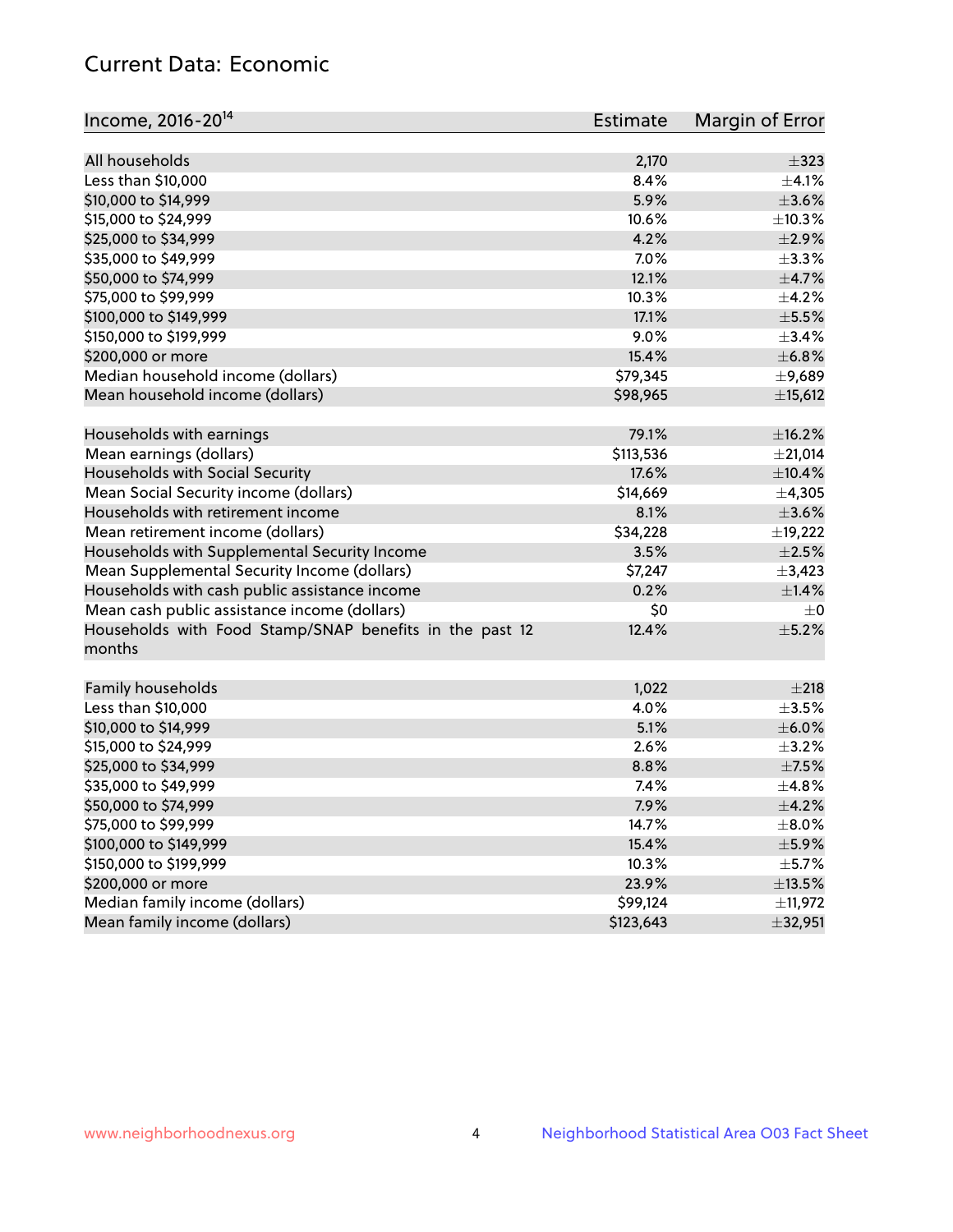# Current Data: Economic

| Income, 2016-20 <sup>14</sup>                                     | <b>Estimate</b> | Margin of Error |
|-------------------------------------------------------------------|-----------------|-----------------|
| All households                                                    | 2,170           | $\pm$ 323       |
| Less than \$10,000                                                | 8.4%            | $\pm$ 4.1%      |
| \$10,000 to \$14,999                                              | 5.9%            | $\pm 3.6\%$     |
| \$15,000 to \$24,999                                              | 10.6%           | ±10.3%          |
|                                                                   | 4.2%            | $\pm 2.9\%$     |
| \$25,000 to \$34,999                                              |                 |                 |
| \$35,000 to \$49,999                                              | 7.0%            | ±3.3%           |
| \$50,000 to \$74,999                                              | 12.1%           | $\pm$ 4.7%      |
| \$75,000 to \$99,999                                              | 10.3%           | $\pm$ 4.2%      |
| \$100,000 to \$149,999                                            | 17.1%           | $\pm$ 5.5%      |
| \$150,000 to \$199,999                                            | 9.0%            | $\pm$ 3.4%      |
| \$200,000 or more                                                 | 15.4%           | ±6.8%           |
| Median household income (dollars)                                 | \$79,345        | ±9,689          |
| Mean household income (dollars)                                   | \$98,965        | ±15,612         |
| Households with earnings                                          | 79.1%           | ±16.2%          |
| Mean earnings (dollars)                                           | \$113,536       | ±21,014         |
| Households with Social Security                                   | 17.6%           | ±10.4%          |
| Mean Social Security income (dollars)                             | \$14,669        | ±4,305          |
| Households with retirement income                                 | 8.1%            | $\pm 3.6\%$     |
| Mean retirement income (dollars)                                  | \$34,228        | ±19,222         |
| Households with Supplemental Security Income                      | 3.5%            | $\pm 2.5\%$     |
| Mean Supplemental Security Income (dollars)                       | \$7,247         | $\pm$ 3,423     |
| Households with cash public assistance income                     | 0.2%            | $\pm$ 1.4%      |
| Mean cash public assistance income (dollars)                      | \$0             | $\pm$ 0         |
| Households with Food Stamp/SNAP benefits in the past 12<br>months | 12.4%           | $\pm$ 5.2%      |
| Family households                                                 | 1,022           | ±218            |
| Less than \$10,000                                                | 4.0%            | $\pm$ 3.5%      |
| \$10,000 to \$14,999                                              | 5.1%            | $\pm$ 6.0%      |
| \$15,000 to \$24,999                                              | 2.6%            | $\pm$ 3.2%      |
| \$25,000 to \$34,999                                              | 8.8%            | $\pm$ 7.5%      |
| \$35,000 to \$49,999                                              | 7.4%            | ±4.8%           |
| \$50,000 to \$74,999                                              | 7.9%            | $\pm$ 4.2%      |
| \$75,000 to \$99,999                                              | 14.7%           | $\pm$ 8.0%      |
| \$100,000 to \$149,999                                            | 15.4%           | $\pm$ 5.9%      |
| \$150,000 to \$199,999                                            | 10.3%           | $\pm$ 5.7%      |
| \$200,000 or more                                                 | 23.9%           | $\pm$ 13.5%     |
| Median family income (dollars)                                    | \$99,124        | ±11,972         |
| Mean family income (dollars)                                      | \$123,643       | ±32,951         |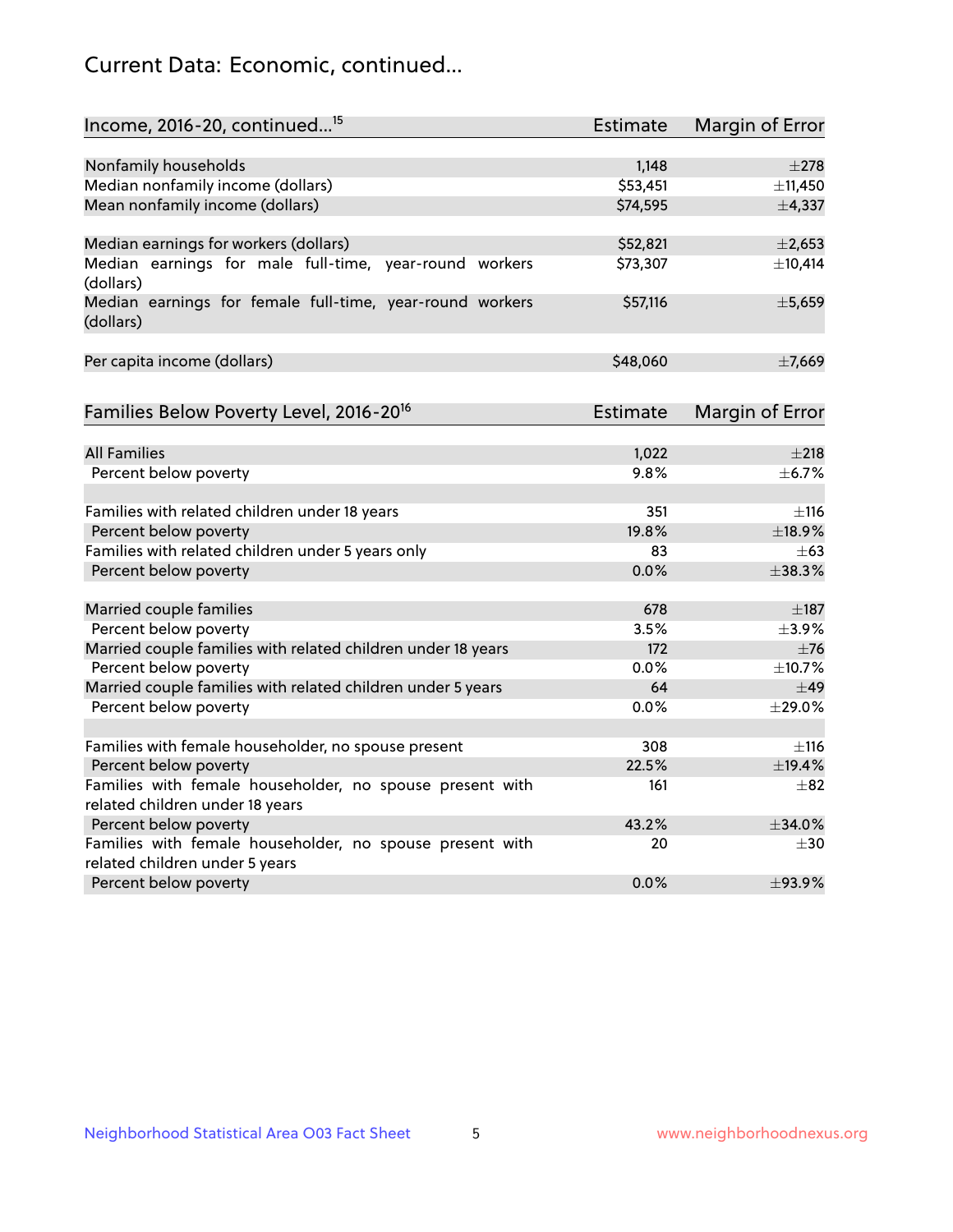# Current Data: Economic, continued...

| Income, 2016-20, continued <sup>15</sup>                                                   | <b>Estimate</b> | Margin of Error        |
|--------------------------------------------------------------------------------------------|-----------------|------------------------|
|                                                                                            |                 |                        |
| Nonfamily households                                                                       | 1,148           | $\pm 278$              |
| Median nonfamily income (dollars)                                                          | \$53,451        | ±11,450                |
| Mean nonfamily income (dollars)                                                            | \$74,595        | ±4,337                 |
| Median earnings for workers (dollars)                                                      | \$52,821        | $\pm 2,653$            |
| Median earnings for male full-time, year-round workers<br>(dollars)                        | \$73,307        | ±10,414                |
| Median earnings for female full-time, year-round workers<br>(dollars)                      | \$57,116        | ±5,659                 |
| Per capita income (dollars)                                                                | \$48,060        | ±7,669                 |
| Families Below Poverty Level, 2016-20 <sup>16</sup>                                        | Estimate        | <b>Margin of Error</b> |
|                                                                                            |                 |                        |
| <b>All Families</b>                                                                        | 1,022           | ±218                   |
| Percent below poverty                                                                      | 9.8%            | $\pm$ 6.7%             |
| Families with related children under 18 years                                              | 351             | ±116                   |
| Percent below poverty                                                                      | 19.8%           | ±18.9%                 |
| Families with related children under 5 years only                                          | 83              | $+63$                  |
| Percent below poverty                                                                      | 0.0%            | ±38.3%                 |
| Married couple families                                                                    | 678             | $\pm$ 187              |
| Percent below poverty                                                                      | 3.5%            | $\pm$ 3.9%             |
| Married couple families with related children under 18 years                               | 172             | $\pm$ 76               |
| Percent below poverty                                                                      | $0.0\%$         | ±10.7%                 |
| Married couple families with related children under 5 years                                | 64              | $\pm$ 49               |
| Percent below poverty                                                                      | $0.0\%$         | ±29.0%                 |
|                                                                                            |                 |                        |
| Families with female householder, no spouse present                                        | 308             | $\pm$ 116              |
| Percent below poverty                                                                      | 22.5%           | ±19.4%                 |
| Families with female householder, no spouse present with                                   | 161             | $\pm$ 82               |
| related children under 18 years                                                            |                 |                        |
| Percent below poverty                                                                      | 43.2%           | ±34.0%                 |
| Families with female householder, no spouse present with<br>related children under 5 years | 20              | $\pm 30$               |
| Percent below poverty                                                                      | 0.0%            | ±93.9%                 |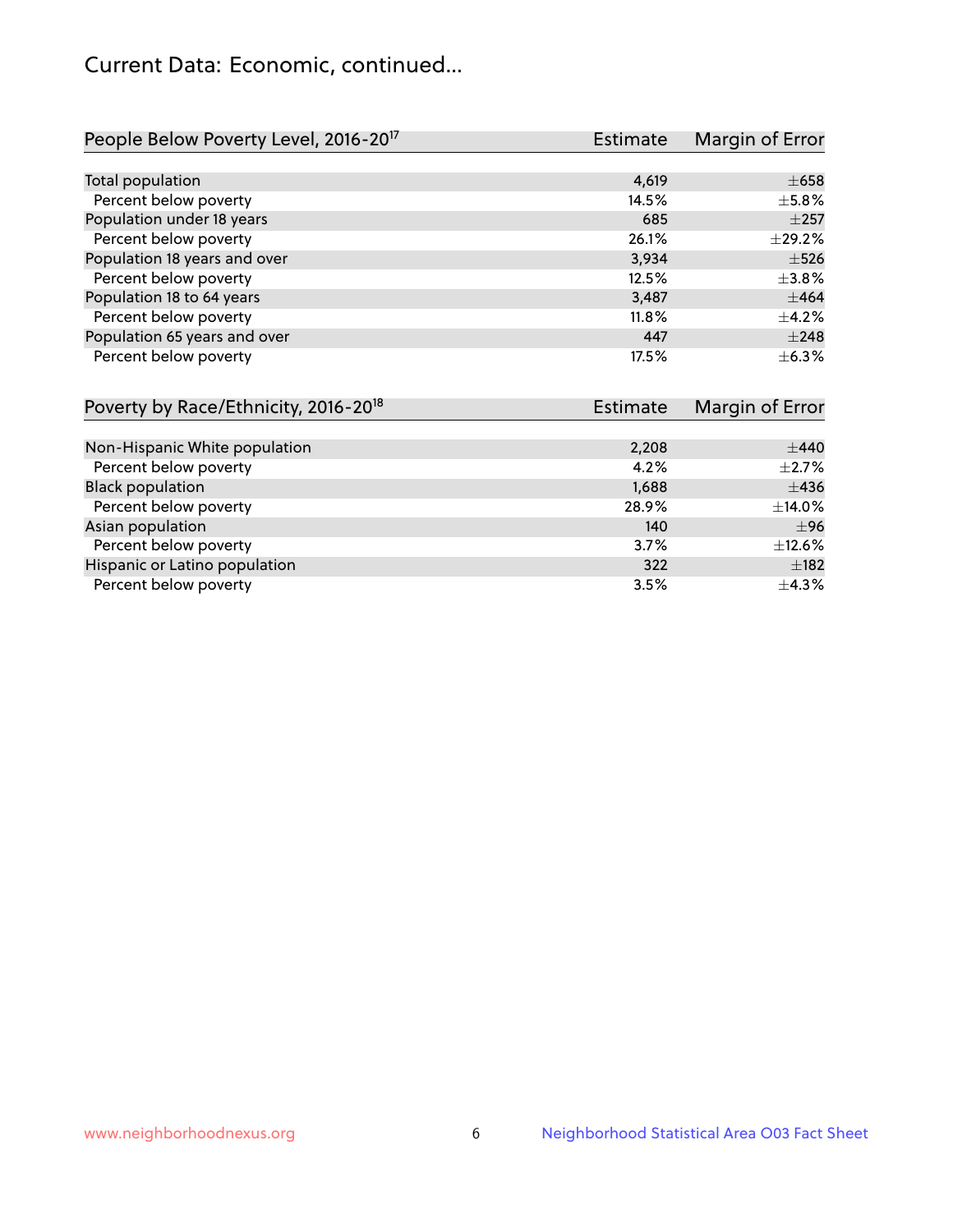# Current Data: Economic, continued...

| People Below Poverty Level, 2016-20 <sup>17</sup> | <b>Estimate</b> | Margin of Error |
|---------------------------------------------------|-----------------|-----------------|
|                                                   |                 |                 |
| Total population                                  | 4,619           | $\pm 658$       |
| Percent below poverty                             | 14.5%           | $\pm$ 5.8%      |
| Population under 18 years                         | 685             | $\pm 257$       |
| Percent below poverty                             | 26.1%           | $\pm$ 29.2%     |
| Population 18 years and over                      | 3,934           | $\pm$ 526       |
| Percent below poverty                             | 12.5%           | $\pm$ 3.8%      |
| Population 18 to 64 years                         | 3,487           | ±464            |
| Percent below poverty                             | 11.8%           | $+4.2%$         |
| Population 65 years and over                      | 447             | $\pm 248$       |
| Percent below poverty                             | 17.5%           | $\pm$ 6.3%      |

| Poverty by Race/Ethnicity, 2016-20 <sup>18</sup><br>Estimate |       | Margin of Error |  |
|--------------------------------------------------------------|-------|-----------------|--|
|                                                              |       |                 |  |
| Non-Hispanic White population                                | 2,208 | $\pm$ 440       |  |
| Percent below poverty                                        | 4.2%  | $\pm 2.7\%$     |  |
| <b>Black population</b>                                      | 1,688 | $\pm$ 436       |  |
| Percent below poverty                                        | 28.9% | $\pm$ 14.0%     |  |
| Asian population                                             | 140   | ±96             |  |
| Percent below poverty                                        | 3.7%  | $\pm$ 12.6%     |  |
| Hispanic or Latino population                                | 322   | $\pm$ 182       |  |
| Percent below poverty                                        | 3.5%  | $\pm$ 4.3%      |  |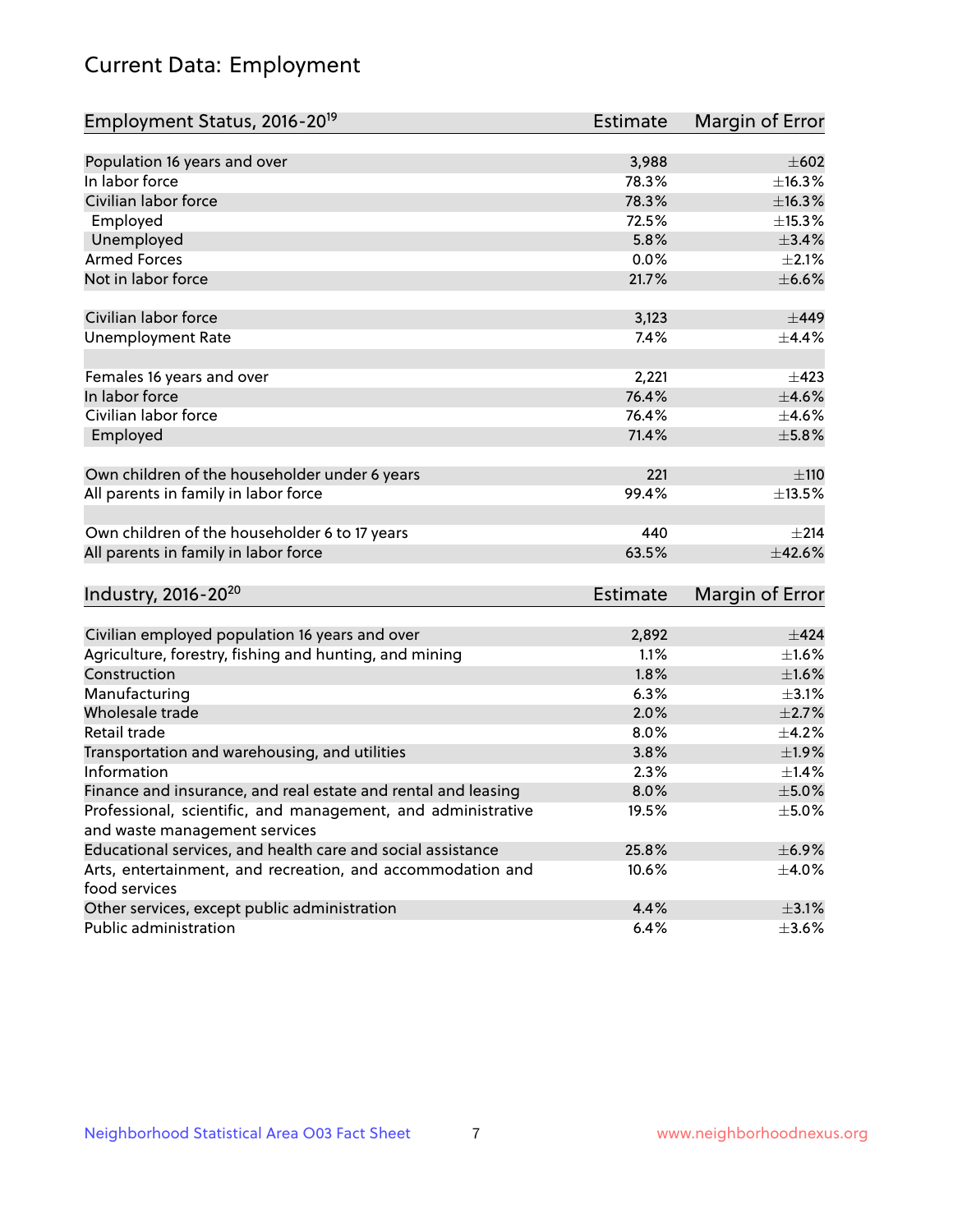# Current Data: Employment

| Employment Status, 2016-20 <sup>19</sup>                                    | <b>Estimate</b> | Margin of Error |
|-----------------------------------------------------------------------------|-----------------|-----------------|
|                                                                             |                 |                 |
| Population 16 years and over                                                | 3,988           | $\pm 602$       |
| In labor force                                                              | 78.3%           | ±16.3%          |
| Civilian labor force                                                        | 78.3%           | ±16.3%          |
| Employed                                                                    | 72.5%           | ±15.3%          |
| Unemployed                                                                  | 5.8%            | $\pm$ 3.4%      |
| <b>Armed Forces</b>                                                         | 0.0%            | $\pm 2.1\%$     |
| Not in labor force                                                          | 21.7%           | $\pm$ 6.6%      |
| Civilian labor force                                                        | 3,123           | ±449            |
| <b>Unemployment Rate</b>                                                    | 7.4%            | $\pm$ 4.4%      |
| Females 16 years and over                                                   | 2,221           | $\pm 423$       |
| In labor force                                                              | 76.4%           | $\pm 4.6\%$     |
| Civilian labor force                                                        | 76.4%           | $\pm 4.6\%$     |
| Employed                                                                    | 71.4%           | $\pm$ 5.8%      |
| Own children of the householder under 6 years                               | 221             | ±110            |
| All parents in family in labor force                                        | 99.4%           | $\pm$ 13.5%     |
| Own children of the householder 6 to 17 years                               | 440             | $\pm 214$       |
| All parents in family in labor force                                        | 63.5%           | ±42.6%          |
| Industry, 2016-20 <sup>20</sup>                                             | <b>Estimate</b> | Margin of Error |
|                                                                             |                 |                 |
| Civilian employed population 16 years and over                              | 2,892           | $\pm 424$       |
| Agriculture, forestry, fishing and hunting, and mining                      | 1.1%            | $\pm1.6\%$      |
| Construction                                                                | 1.8%            | ±1.6%           |
| Manufacturing                                                               | 6.3%            | $\pm$ 3.1%      |
| Wholesale trade                                                             | 2.0%            | $\pm 2.7\%$     |
| Retail trade                                                                | 8.0%            | $\pm$ 4.2%      |
| Transportation and warehousing, and utilities                               | 3.8%            | ±1.9%           |
| Information                                                                 | 2.3%            | $\pm$ 1.4%      |
| Finance and insurance, and real estate and rental and leasing               | 8.0%            | $\pm$ 5.0%      |
| Professional, scientific, and management, and administrative                | 19.5%           | $\pm$ 5.0%      |
| and waste management services                                               |                 |                 |
| Educational services, and health care and social assistance                 | 25.8%           | $\pm$ 6.9%      |
| Arts, entertainment, and recreation, and accommodation and<br>food services | 10.6%           | $\pm$ 4.0%      |
| Other services, except public administration                                | 4.4%            | $\pm$ 3.1%      |
| Public administration                                                       | 6.4%            | $\pm 3.6\%$     |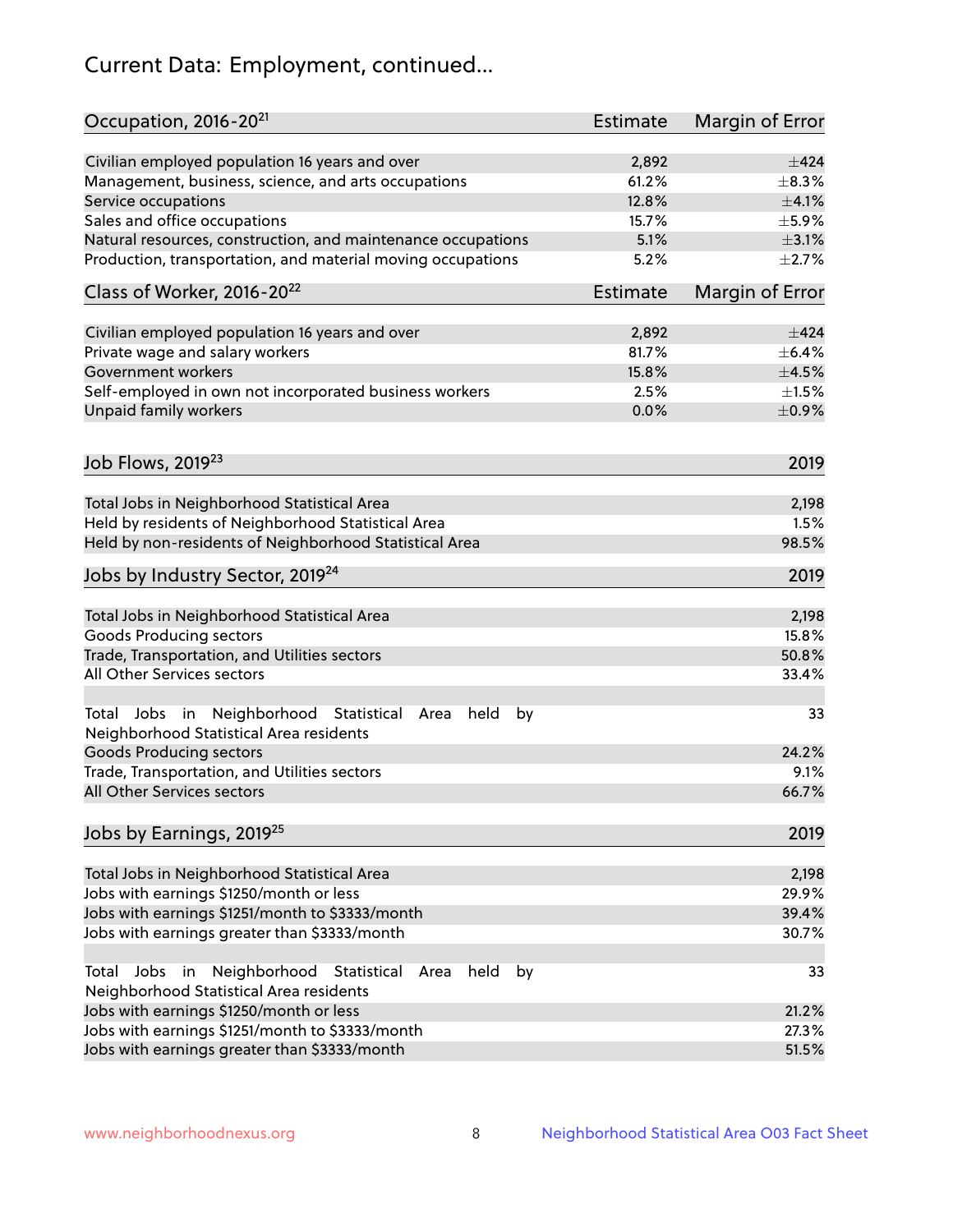# Current Data: Employment, continued...

| Occupation, 2016-20 <sup>21</sup>                                                                       | <b>Estimate</b> | Margin of Error |
|---------------------------------------------------------------------------------------------------------|-----------------|-----------------|
| Civilian employed population 16 years and over                                                          | 2,892           | $\pm$ 424       |
| Management, business, science, and arts occupations                                                     | 61.2%           | $\pm$ 8.3%      |
| Service occupations                                                                                     | 12.8%           | $\pm 4.1\%$     |
| Sales and office occupations                                                                            | 15.7%           | $\pm$ 5.9%      |
| Natural resources, construction, and maintenance occupations                                            | 5.1%            | $\pm$ 3.1%      |
| Production, transportation, and material moving occupations                                             | 5.2%            | $\pm 2.7\%$     |
| Class of Worker, 2016-20 <sup>22</sup>                                                                  | <b>Estimate</b> | Margin of Error |
| Civilian employed population 16 years and over                                                          | 2,892           | $\pm$ 424       |
| Private wage and salary workers                                                                         | 81.7%           | $\pm$ 6.4%      |
| Government workers                                                                                      | 15.8%           | $\pm$ 4.5%      |
| Self-employed in own not incorporated business workers                                                  | 2.5%            | $\pm 1.5\%$     |
| Unpaid family workers                                                                                   | 0.0%            | $\pm$ 0.9%      |
|                                                                                                         |                 |                 |
| Job Flows, 2019 <sup>23</sup>                                                                           |                 | 2019            |
| Total Jobs in Neighborhood Statistical Area                                                             |                 | 2,198           |
| Held by residents of Neighborhood Statistical Area                                                      |                 | 1.5%            |
| Held by non-residents of Neighborhood Statistical Area                                                  |                 | 98.5%           |
| Jobs by Industry Sector, 2019 <sup>24</sup>                                                             |                 | 2019            |
| Total Jobs in Neighborhood Statistical Area                                                             |                 | 2,198           |
| <b>Goods Producing sectors</b>                                                                          |                 | 15.8%           |
| Trade, Transportation, and Utilities sectors                                                            |                 | 50.8%           |
| All Other Services sectors                                                                              |                 | 33.4%           |
| Total Jobs in Neighborhood Statistical<br>held<br>by<br>Area<br>Neighborhood Statistical Area residents |                 | 33              |
| <b>Goods Producing sectors</b>                                                                          |                 | 24.2%           |
| Trade, Transportation, and Utilities sectors                                                            |                 | 9.1%            |
| All Other Services sectors                                                                              |                 | 66.7%           |
| Jobs by Earnings, 2019 <sup>25</sup>                                                                    |                 | 2019            |
| Total Jobs in Neighborhood Statistical Area                                                             |                 | 2,198           |
| Jobs with earnings \$1250/month or less                                                                 |                 | 29.9%           |
| Jobs with earnings \$1251/month to \$3333/month                                                         |                 | 39.4%           |
| Jobs with earnings greater than \$3333/month                                                            |                 | 30.7%           |
| Neighborhood Statistical<br>Jobs<br>in<br>held<br>by<br>Total<br>Area                                   |                 | 33              |
| Neighborhood Statistical Area residents                                                                 |                 |                 |
| Jobs with earnings \$1250/month or less                                                                 |                 | 21.2%           |
| Jobs with earnings \$1251/month to \$3333/month                                                         |                 | 27.3%           |
| Jobs with earnings greater than \$3333/month                                                            |                 | 51.5%           |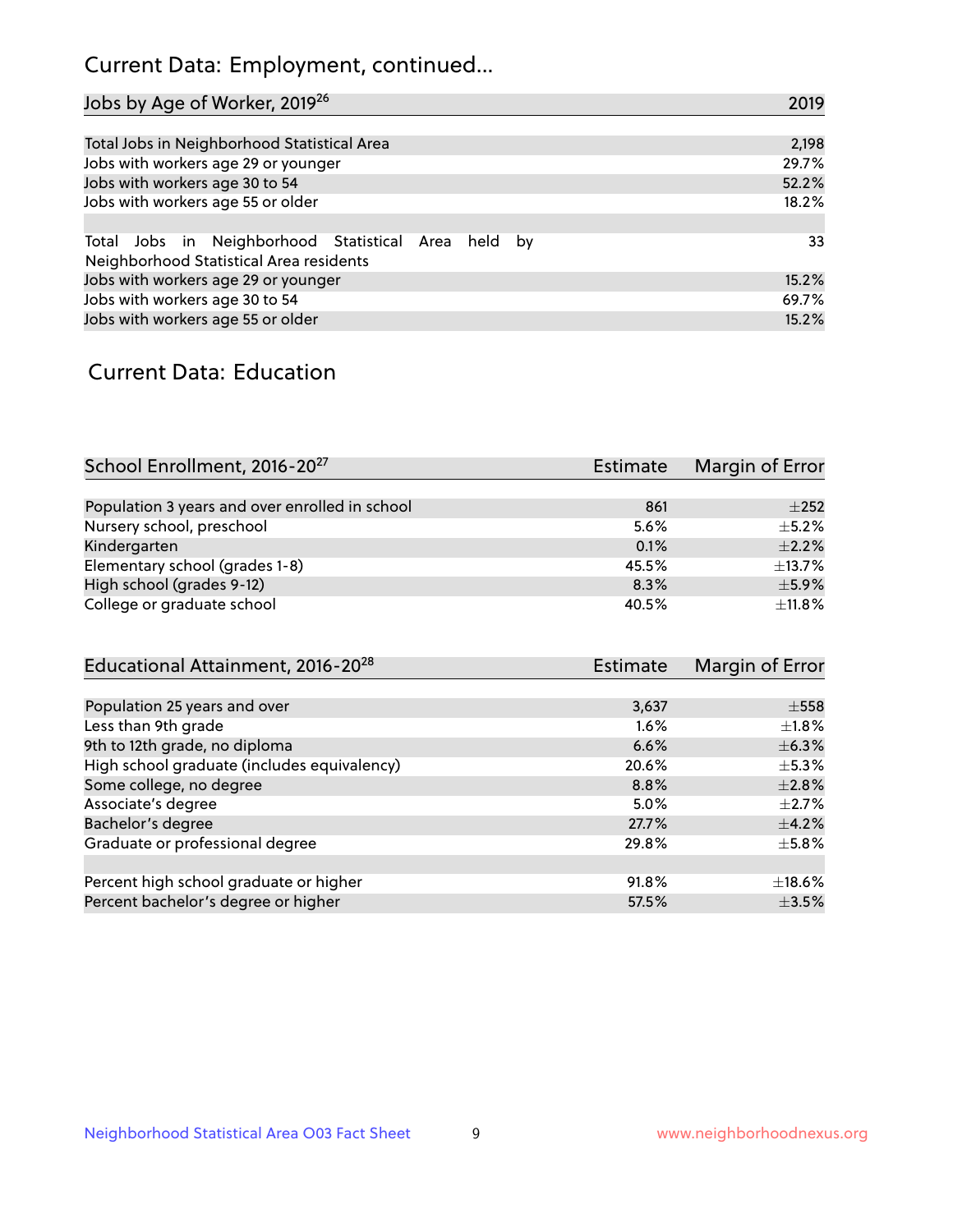# Current Data: Employment, continued...

| Jobs by Age of Worker, 2019 <sup>26</sup>                                                      | 2019  |
|------------------------------------------------------------------------------------------------|-------|
|                                                                                                |       |
| Total Jobs in Neighborhood Statistical Area                                                    | 2,198 |
| Jobs with workers age 29 or younger                                                            | 29.7% |
| Jobs with workers age 30 to 54                                                                 | 52.2% |
| Jobs with workers age 55 or older                                                              | 18.2% |
|                                                                                                |       |
| Total Jobs in Neighborhood Statistical Area held by<br>Neighborhood Statistical Area residents | 33    |
| Jobs with workers age 29 or younger                                                            | 15.2% |
| Jobs with workers age 30 to 54                                                                 | 69.7% |
| Jobs with workers age 55 or older                                                              | 15.2% |

### Current Data: Education

| School Enrollment, 2016-20 <sup>27</sup>       | <b>Estimate</b> | Margin of Error |
|------------------------------------------------|-----------------|-----------------|
|                                                |                 |                 |
| Population 3 years and over enrolled in school | 861             | $\pm 252$       |
| Nursery school, preschool                      | 5.6%            | $\pm$ 5.2%      |
| Kindergarten                                   | 0.1%            | $\pm 2.2\%$     |
| Elementary school (grades 1-8)                 | 45.5%           | ±13.7%          |
| High school (grades 9-12)                      | 8.3%            | $\pm$ 5.9%      |
| College or graduate school                     | 40.5%           | $\pm$ 11.8%     |

| Educational Attainment, 2016-20 <sup>28</sup> | Estimate | Margin of Error |
|-----------------------------------------------|----------|-----------------|
|                                               |          |                 |
| Population 25 years and over                  | 3,637    | $\pm$ 558       |
| Less than 9th grade                           | 1.6%     | $\pm 1.8\%$     |
| 9th to 12th grade, no diploma                 | 6.6%     | $\pm$ 6.3%      |
| High school graduate (includes equivalency)   | 20.6%    | $\pm$ 5.3%      |
| Some college, no degree                       | 8.8%     | $\pm 2.8\%$     |
| Associate's degree                            | 5.0%     | $\pm 2.7\%$     |
| Bachelor's degree                             | 27.7%    | $\pm$ 4.2%      |
| Graduate or professional degree               | 29.8%    | $\pm$ 5.8%      |
|                                               |          |                 |
| Percent high school graduate or higher        | 91.8%    | $\pm$ 18.6%     |
| Percent bachelor's degree or higher           | 57.5%    | $\pm$ 3.5%      |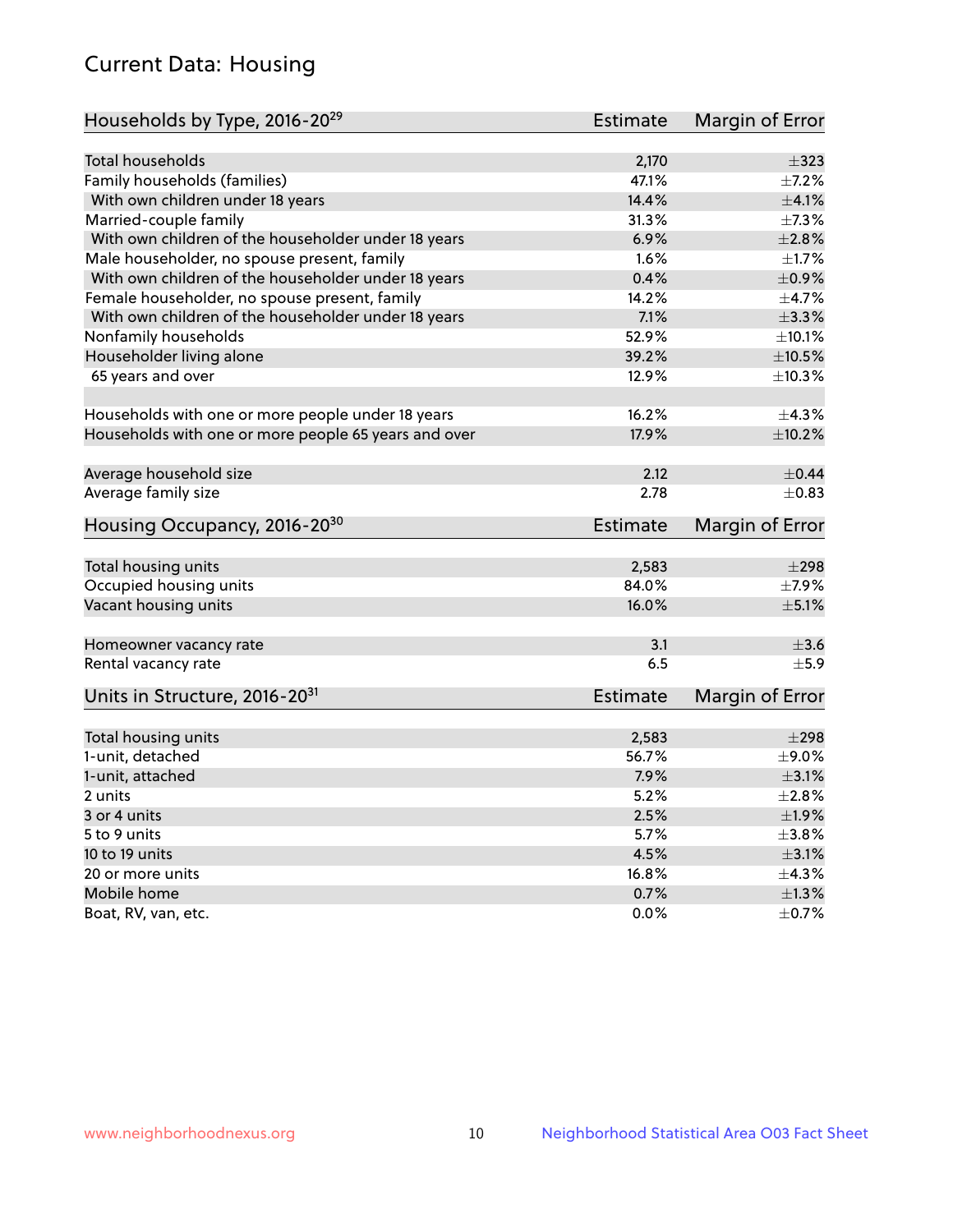# Current Data: Housing

| Households by Type, 2016-20 <sup>29</sup>            | <b>Estimate</b> | Margin of Error          |
|------------------------------------------------------|-----------------|--------------------------|
|                                                      |                 |                          |
| <b>Total households</b>                              | 2,170           | $\pm$ 323                |
| Family households (families)                         | 47.1%           | $+7.2%$                  |
| With own children under 18 years                     | 14.4%           | $\pm 4.1\%$              |
| Married-couple family                                | 31.3%           | $\pm$ 7.3%               |
| With own children of the householder under 18 years  | 6.9%            | $\pm 2.8\%$              |
| Male householder, no spouse present, family          | 1.6%            | $\pm$ 1.7%               |
| With own children of the householder under 18 years  | 0.4%            | $\pm$ 0.9%               |
| Female householder, no spouse present, family        | 14.2%           | $\pm$ 4.7%               |
| With own children of the householder under 18 years  | 7.1%            | ±3.3%                    |
| Nonfamily households                                 | 52.9%           | $\pm 10.1\%$             |
| Householder living alone                             | 39.2%           | $\pm$ 10.5%              |
| 65 years and over                                    | 12.9%           | ±10.3%                   |
|                                                      |                 |                          |
| Households with one or more people under 18 years    | 16.2%           | $\pm$ 4.3%               |
| Households with one or more people 65 years and over | 17.9%           | ±10.2%                   |
| Average household size                               | 2.12            | $\pm$ 0.44               |
| Average family size                                  | 2.78            | $\pm$ 0.83               |
|                                                      |                 |                          |
| Housing Occupancy, 2016-20 <sup>30</sup>             | <b>Estimate</b> | Margin of Error          |
| Total housing units                                  | 2,583           | $\pm 298$                |
| Occupied housing units                               | 84.0%           |                          |
| Vacant housing units                                 | 16.0%           | $\pm$ 7.9%<br>$\pm$ 5.1% |
|                                                      |                 |                          |
| Homeowner vacancy rate                               | 3.1             | $\pm$ 3.6                |
| Rental vacancy rate                                  | 6.5             | ±5.9                     |
| Units in Structure, 2016-20 <sup>31</sup>            | Estimate        | Margin of Error          |
|                                                      |                 |                          |
| Total housing units                                  | 2,583           | $\pm 298$                |
| 1-unit, detached                                     | 56.7%           | $\pm$ 9.0%               |
| 1-unit, attached                                     | 7.9%            | $\pm$ 3.1%               |
| 2 units                                              | 5.2%            | $\pm 2.8\%$              |
| 3 or 4 units                                         | 2.5%            | $\pm 1.9\%$              |
| 5 to 9 units                                         | 5.7%            | ±3.8%                    |
| 10 to 19 units                                       | 4.5%            | $\pm$ 3.1%               |
| 20 or more units                                     | 16.8%           | ±4.3%                    |
| Mobile home                                          | 0.7%            | $\pm 1.3\%$              |
| Boat, RV, van, etc.                                  | $0.0\%$         | $\pm$ 0.7%               |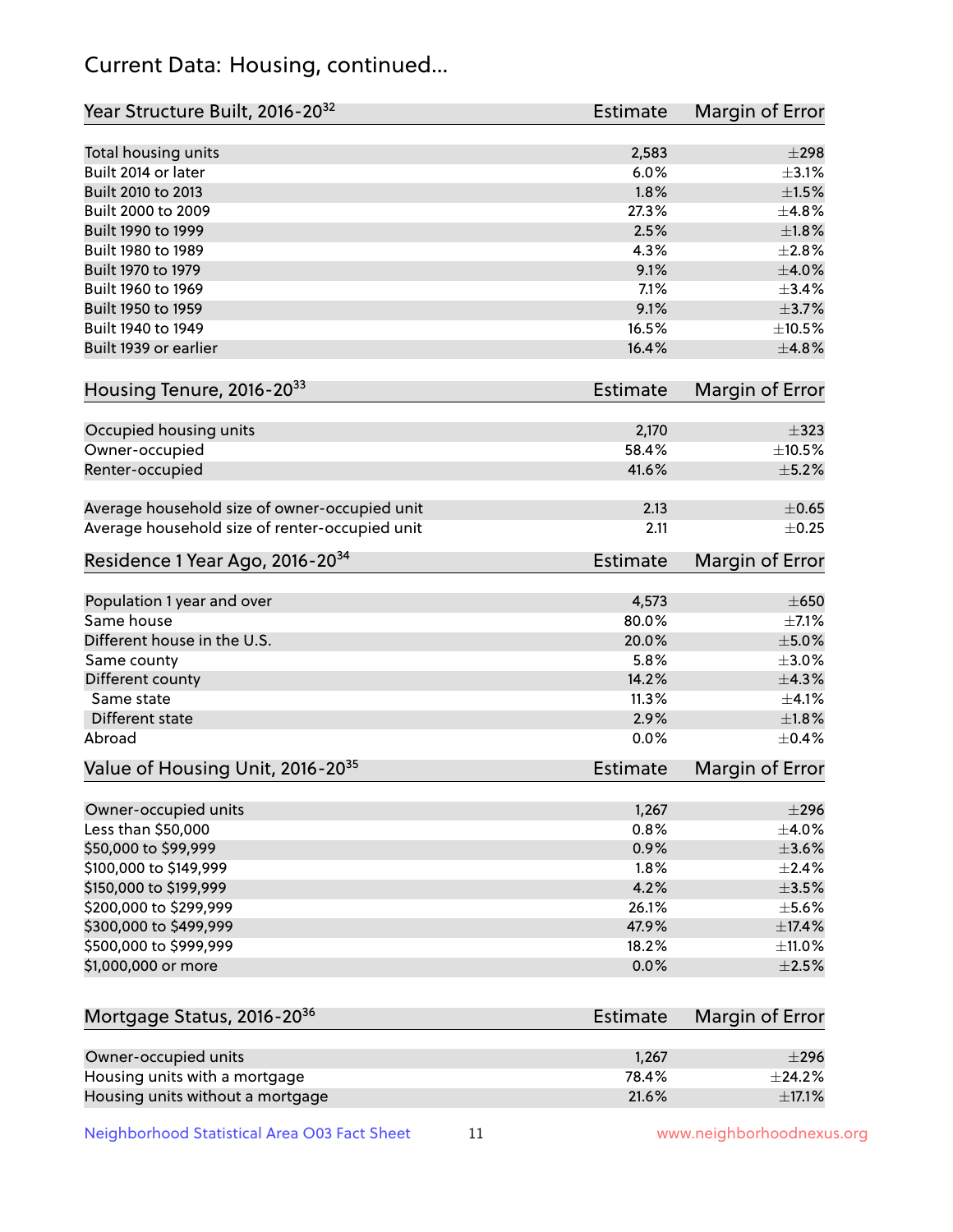# Current Data: Housing, continued...

| Year Structure Built, 2016-20 <sup>32</sup>                       | <b>Estimate</b> | Margin of Error       |
|-------------------------------------------------------------------|-----------------|-----------------------|
| Total housing units                                               | 2,583           | $\pm 298$             |
| Built 2014 or later                                               | 6.0%            | $\pm$ 3.1%            |
| Built 2010 to 2013                                                | 1.8%            | $\pm 1.5\%$           |
| Built 2000 to 2009                                                | 27.3%           | ±4.8%                 |
| Built 1990 to 1999                                                | 2.5%            | $\pm1.8\%$            |
| Built 1980 to 1989                                                | 4.3%            | $\pm 2.8\%$           |
| Built 1970 to 1979                                                | 9.1%            | $\pm 4.0\%$           |
| Built 1960 to 1969                                                | 7.1%            | $\pm$ 3.4%            |
| Built 1950 to 1959                                                | 9.1%            | $\pm$ 3.7%            |
| Built 1940 to 1949                                                | 16.5%           | $\pm 10.5\%$          |
| Built 1939 or earlier                                             | 16.4%           | ±4.8%                 |
| Housing Tenure, 2016-2033                                         | Estimate        | Margin of Error       |
| Occupied housing units                                            | 2,170           | $\pm$ 323             |
| Owner-occupied                                                    | 58.4%           | $\pm$ 10.5%           |
| Renter-occupied                                                   | 41.6%           | $\pm$ 5.2%            |
| Average household size of owner-occupied unit                     | 2.13            | $\pm$ 0.65            |
| Average household size of renter-occupied unit                    | 2.11            | $\pm$ 0.25            |
| Residence 1 Year Ago, 2016-20 <sup>34</sup>                       | <b>Estimate</b> | Margin of Error       |
|                                                                   |                 |                       |
| Population 1 year and over                                        | 4,573           | $\pm 650$             |
| Same house                                                        | 80.0%           | $\pm$ 7.1%            |
| Different house in the U.S.                                       | 20.0%           | $\pm$ 5.0%            |
| Same county                                                       | 5.8%            | $\pm 3.0\%$           |
| Different county                                                  | 14.2%           | ±4.3%                 |
| Same state                                                        | 11.3%           | $\pm 4.1\%$           |
| Different state                                                   | 2.9%            | $\pm1.8\%$            |
| Abroad                                                            | 0.0%            | $\pm$ 0.4%            |
| Value of Housing Unit, 2016-20 <sup>35</sup>                      | <b>Estimate</b> | Margin of Error       |
| Owner-occupied units                                              | 1,267           | $\pm 296$             |
| Less than \$50,000                                                | 0.8%            | $\pm$ 4.0%            |
| \$50,000 to \$99,999                                              | 0.9%            | $\pm 3.6\%$           |
| \$100,000 to \$149,999                                            | 1.8%            | $\pm 2.4\%$           |
| \$150,000 to \$199,999                                            | 4.2%            | $\pm$ 3.5%            |
| \$200,000 to \$299,999                                            | 26.1%           | $\pm$ 5.6%            |
| \$300,000 to \$499,999                                            | 47.9%           | ±17.4%                |
| \$500,000 to \$999,999                                            | 18.2%           | $\pm$ 11.0%           |
| \$1,000,000 or more                                               | 0.0%            | $\pm 2.5\%$           |
| Mortgage Status, 2016-20 <sup>36</sup>                            | <b>Estimate</b> | Margin of Error       |
|                                                                   |                 |                       |
| Owner-occupied units                                              | 1,267           | $\pm 296$             |
| Housing units with a mortgage<br>Housing units without a mortgage | 78.4%<br>21.6%  | ±24.2%<br>$\pm$ 17.1% |
|                                                                   |                 |                       |

Neighborhood Statistical Area O03 Fact Sheet 11 11 www.neighborhoodnexus.org

Housing units without a mortgage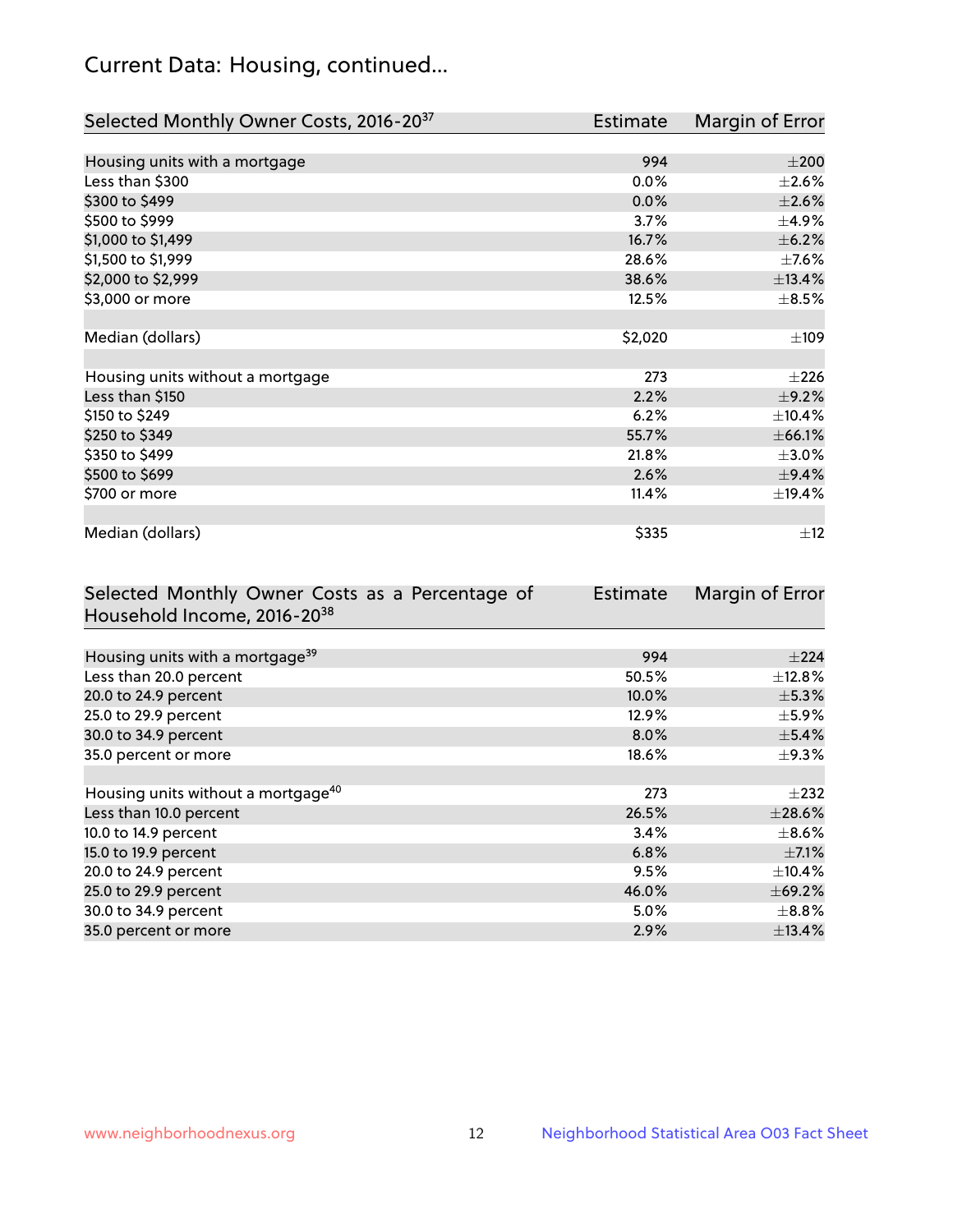# Current Data: Housing, continued...

| Selected Monthly Owner Costs, 2016-20 <sup>37</sup> | Estimate | Margin of Error |
|-----------------------------------------------------|----------|-----------------|
|                                                     |          |                 |
| Housing units with a mortgage                       | 994      | $\pm 200$       |
| Less than \$300                                     | 0.0%     | $\pm 2.6\%$     |
| \$300 to \$499                                      | 0.0%     | $\pm 2.6\%$     |
| \$500 to \$999                                      | 3.7%     | $\pm$ 4.9%      |
| \$1,000 to \$1,499                                  | 16.7%    | $\pm$ 6.2%      |
| \$1,500 to \$1,999                                  | 28.6%    | $\pm$ 7.6%      |
| \$2,000 to \$2,999                                  | 38.6%    | ±13.4%          |
| \$3,000 or more                                     | 12.5%    | $\pm$ 8.5%      |
|                                                     |          |                 |
| Median (dollars)                                    | \$2,020  | $\pm 109$       |
|                                                     |          |                 |
| Housing units without a mortgage                    | 273      | $\pm 226$       |
| Less than \$150                                     | 2.2%     | $\pm$ 9.2%      |
| \$150 to \$249                                      | 6.2%     | ±10.4%          |
| \$250 to \$349                                      | 55.7%    | ±66.1%          |
| \$350 to \$499                                      | 21.8%    | $\pm 3.0\%$     |
| \$500 to \$699                                      | 2.6%     | ±9.4%           |
| \$700 or more                                       | 11.4%    | ±19.4%          |
|                                                     |          |                 |
| Median (dollars)                                    | \$335    | ±12             |

| Selected Monthly Owner Costs as a Percentage of | <b>Estimate</b> | Margin of Error |
|-------------------------------------------------|-----------------|-----------------|
| Household Income, 2016-20 <sup>38</sup>         |                 |                 |
|                                                 |                 |                 |
| Housing units with a mortgage <sup>39</sup>     | 994             | $\pm 224$       |
| Less than 20.0 percent                          | 50.5%           | $\pm$ 12.8%     |
| 20.0 to 24.9 percent                            | 10.0%           | $\pm$ 5.3%      |
| 25.0 to 29.9 percent                            | 12.9%           | $\pm$ 5.9%      |
| 30.0 to 34.9 percent                            | 8.0%            | $\pm$ 5.4%      |
| 35.0 percent or more                            | 18.6%           | $\pm$ 9.3%      |
|                                                 |                 |                 |
| Housing units without a mortgage <sup>40</sup>  | 273             | $\pm 232$       |
| Less than 10.0 percent                          | 26.5%           | $\pm 28.6\%$    |
| 10.0 to 14.9 percent                            | 3.4%            | $\pm$ 8.6%      |
| 15.0 to 19.9 percent                            | 6.8%            | $\pm$ 7.1%      |
| 20.0 to 24.9 percent                            | 9.5%            | $\pm$ 10.4%     |
| 25.0 to 29.9 percent                            | 46.0%           | ±69.2%          |
| 30.0 to 34.9 percent                            | 5.0%            | $\pm$ 8.8%      |
| 35.0 percent or more                            | 2.9%            | $\pm$ 13.4%     |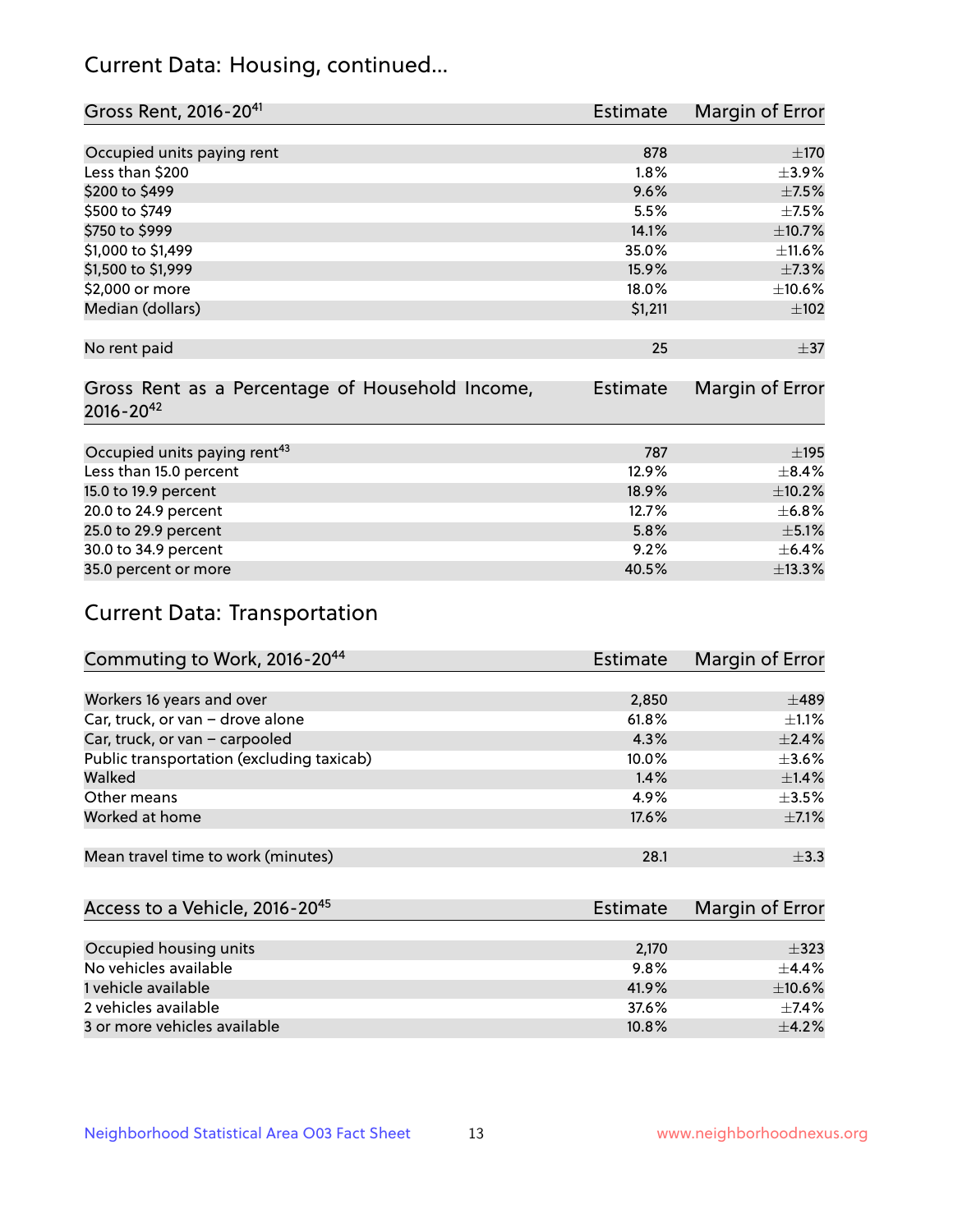# Current Data: Housing, continued...

| Gross Rent, 2016-20 <sup>41</sup>               | <b>Estimate</b> | Margin of Error |
|-------------------------------------------------|-----------------|-----------------|
|                                                 |                 |                 |
| Occupied units paying rent                      | 878             | ±170            |
| Less than \$200                                 | 1.8%            | $\pm$ 3.9%      |
| \$200 to \$499                                  | 9.6%            | $\pm$ 7.5%      |
| \$500 to \$749                                  | 5.5%            | $\pm$ 7.5%      |
| \$750 to \$999                                  | 14.1%           | ±10.7%          |
| \$1,000 to \$1,499                              | 35.0%           | $\pm$ 11.6%     |
| \$1,500 to \$1,999                              | 15.9%           | $\pm$ 7.3%      |
| \$2,000 or more                                 | 18.0%           | $\pm 10.6\%$    |
| Median (dollars)                                | \$1,211         | $\pm 102$       |
|                                                 |                 |                 |
| No rent paid                                    | 25              | $\pm$ 37        |
|                                                 |                 |                 |
| Gross Rent as a Percentage of Household Income, | <b>Estimate</b> | Margin of Error |
| $2016 - 20^{42}$                                |                 |                 |
|                                                 |                 |                 |
| Occupied units paying rent <sup>43</sup>        | 787             | $\pm$ 195       |
| Less than 15.0 percent                          | 12.9%           | $\pm$ 8.4%      |
| 15.0 to 19.9 percent                            | 18.9%           | $\pm$ 10.2%     |
| 20.0 to 24.9 percent                            | 12.7%           | ±6.8%           |
| 25.0 to 29.9 percent                            | 5.8%            | $\pm$ 5.1%      |
| 30.0 to 34.9 percent                            | 9.2%            | $\pm$ 6.4%      |
| 35.0 percent or more                            | 40.5%           | ±13.3%          |

# Current Data: Transportation

| Commuting to Work, 2016-20 <sup>44</sup>  | <b>Estimate</b> | <b>Margin of Error</b> |
|-------------------------------------------|-----------------|------------------------|
|                                           |                 |                        |
| Workers 16 years and over                 | 2,850           | $\pm$ 489              |
| Car, truck, or van - drove alone          | 61.8%           | $\pm 1.1\%$            |
| Car, truck, or van - carpooled            | 4.3%            | $\pm$ 2.4%             |
| Public transportation (excluding taxicab) | $10.0\%$        | $\pm 3.6\%$            |
| Walked                                    | 1.4%            | $\pm$ 1.4%             |
| Other means                               | 4.9%            | $\pm$ 3.5%             |
| Worked at home                            | 17.6%           | $\pm$ 7.1%             |
|                                           |                 |                        |
| Mean travel time to work (minutes)        | 28.1            | $\pm$ 3.3              |

| Access to a Vehicle, 2016-20 <sup>45</sup> | Estimate | Margin of Error |
|--------------------------------------------|----------|-----------------|
|                                            |          |                 |
| Occupied housing units                     | 2,170    | $\pm$ 323       |
| No vehicles available                      | 9.8%     | $+4.4%$         |
| 1 vehicle available                        | 41.9%    | $\pm$ 10.6%     |
| 2 vehicles available                       | 37.6%    | $+7.4%$         |
| 3 or more vehicles available               | 10.8%    | $+4.2%$         |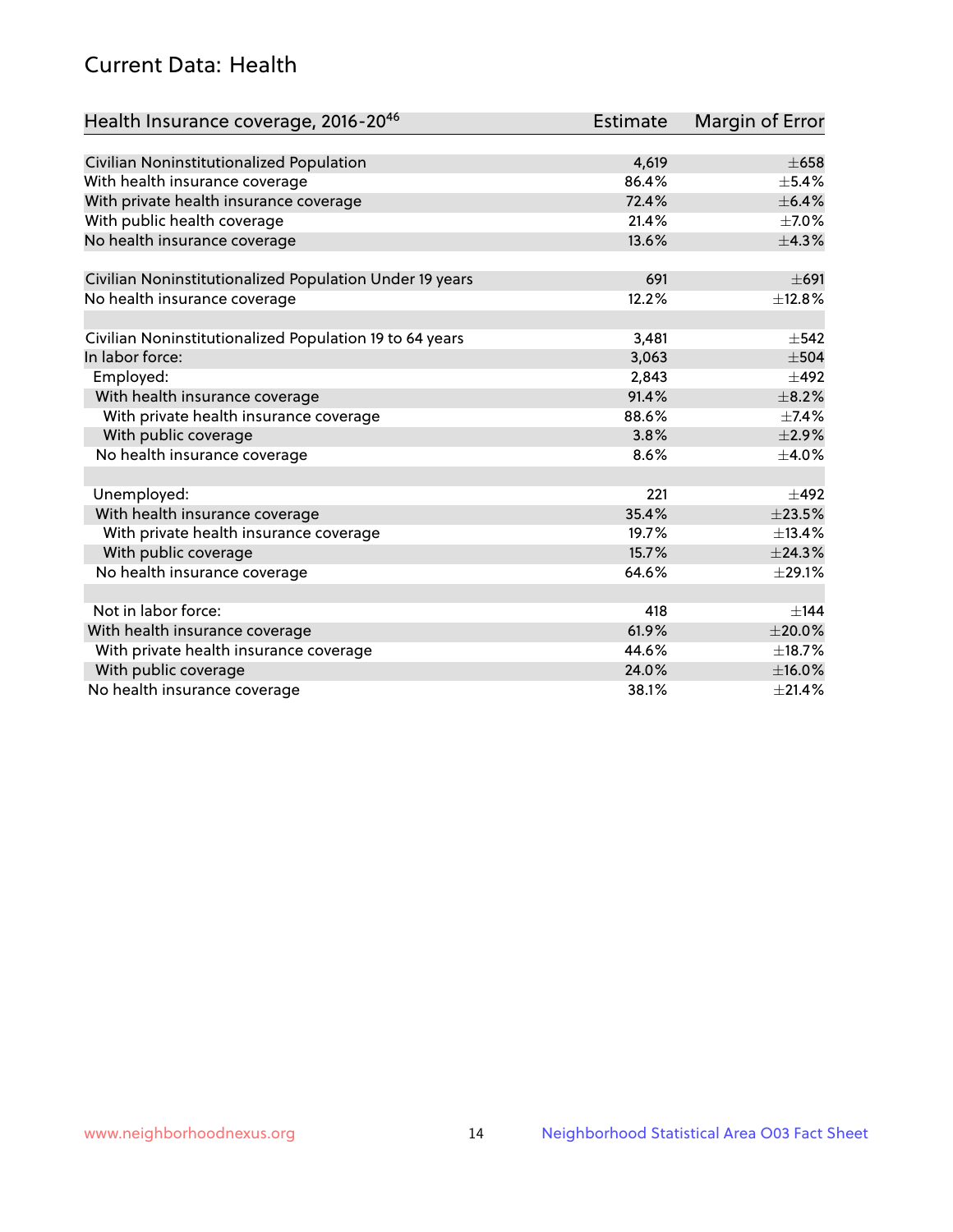# Current Data: Health

| Health Insurance coverage, 2016-2046                    | <b>Estimate</b> | <b>Margin of Error</b> |
|---------------------------------------------------------|-----------------|------------------------|
|                                                         |                 |                        |
| Civilian Noninstitutionalized Population                | 4,619           | $\pm 658$              |
| With health insurance coverage                          | 86.4%           | $\pm$ 5.4%             |
| With private health insurance coverage                  | 72.4%           | ±6.4%                  |
| With public health coverage                             | 21.4%           | $\pm$ 7.0%             |
| No health insurance coverage                            | 13.6%           | ±4.3%                  |
| Civilian Noninstitutionalized Population Under 19 years | 691             | $\pm 691$              |
| No health insurance coverage                            | 12.2%           | ±12.8%                 |
|                                                         |                 |                        |
| Civilian Noninstitutionalized Population 19 to 64 years | 3,481           | $\pm$ 542              |
| In labor force:                                         | 3,063           | $\pm$ 504              |
| Employed:                                               | 2,843           | $\pm$ 492              |
| With health insurance coverage                          | 91.4%           | $\pm$ 8.2%             |
| With private health insurance coverage                  | 88.6%           | $\pm$ 7.4%             |
| With public coverage                                    | 3.8%            | $\pm 2.9\%$            |
| No health insurance coverage                            | 8.6%            | $\pm$ 4.0%             |
|                                                         |                 |                        |
| Unemployed:                                             | 221             | $\pm$ 492              |
| With health insurance coverage                          | 35.4%           | ±23.5%                 |
| With private health insurance coverage                  | 19.7%           | ±13.4%                 |
| With public coverage                                    | 15.7%           | ±24.3%                 |
| No health insurance coverage                            | 64.6%           | $\pm 29.1\%$           |
|                                                         |                 |                        |
| Not in labor force:                                     | 418             | $+144$                 |
| With health insurance coverage                          | 61.9%           | $\pm 20.0\%$           |
| With private health insurance coverage                  | 44.6%           | ±18.7%                 |
| With public coverage                                    | 24.0%           | $\pm$ 16.0%            |
| No health insurance coverage                            | 38.1%           | ±21.4%                 |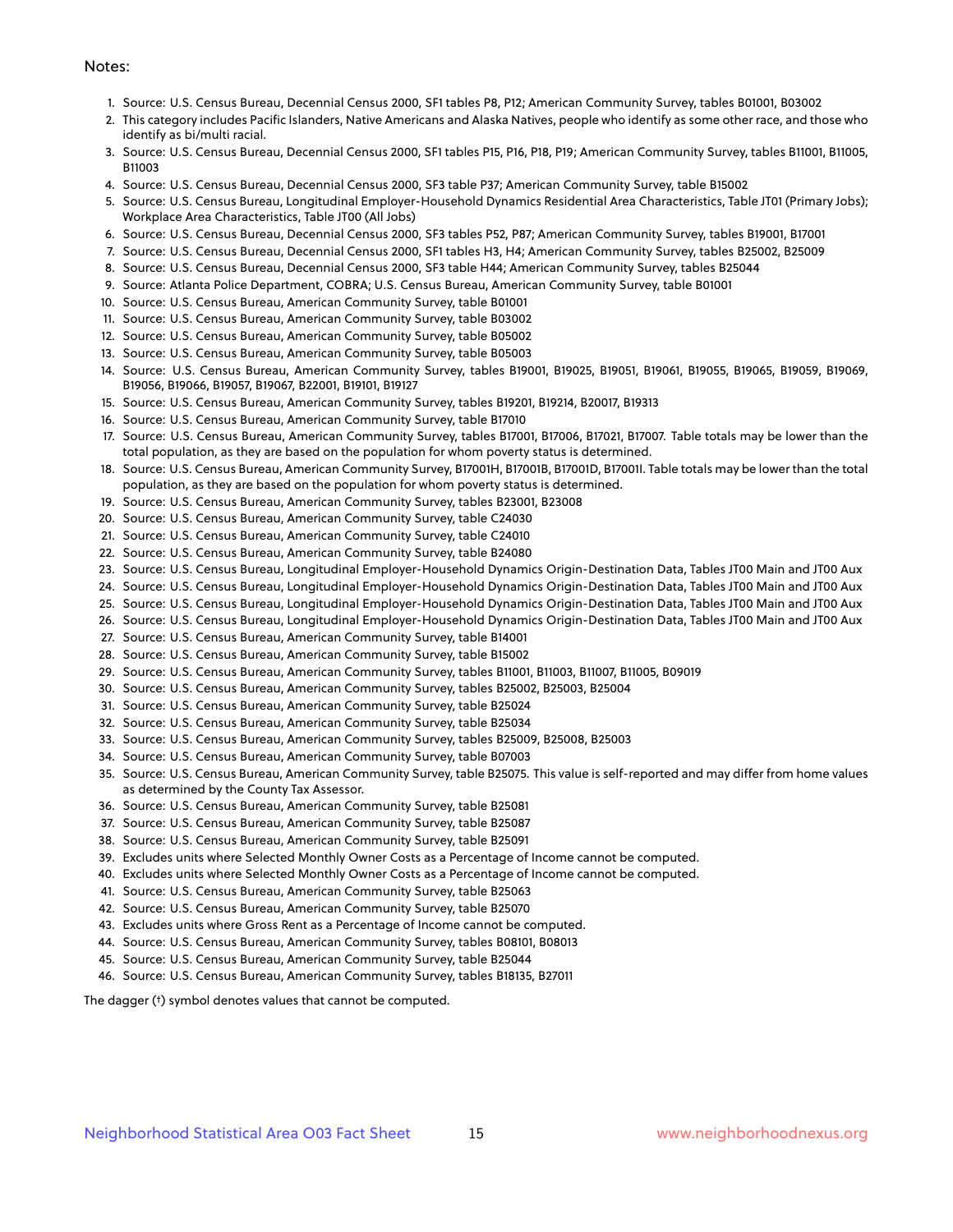#### Notes:

- 1. Source: U.S. Census Bureau, Decennial Census 2000, SF1 tables P8, P12; American Community Survey, tables B01001, B03002
- 2. This category includes Pacific Islanders, Native Americans and Alaska Natives, people who identify as some other race, and those who identify as bi/multi racial.
- 3. Source: U.S. Census Bureau, Decennial Census 2000, SF1 tables P15, P16, P18, P19; American Community Survey, tables B11001, B11005, B11003
- 4. Source: U.S. Census Bureau, Decennial Census 2000, SF3 table P37; American Community Survey, table B15002
- 5. Source: U.S. Census Bureau, Longitudinal Employer-Household Dynamics Residential Area Characteristics, Table JT01 (Primary Jobs); Workplace Area Characteristics, Table JT00 (All Jobs)
- 6. Source: U.S. Census Bureau, Decennial Census 2000, SF3 tables P52, P87; American Community Survey, tables B19001, B17001
- 7. Source: U.S. Census Bureau, Decennial Census 2000, SF1 tables H3, H4; American Community Survey, tables B25002, B25009
- 8. Source: U.S. Census Bureau, Decennial Census 2000, SF3 table H44; American Community Survey, tables B25044
- 9. Source: Atlanta Police Department, COBRA; U.S. Census Bureau, American Community Survey, table B01001
- 10. Source: U.S. Census Bureau, American Community Survey, table B01001
- 11. Source: U.S. Census Bureau, American Community Survey, table B03002
- 12. Source: U.S. Census Bureau, American Community Survey, table B05002
- 13. Source: U.S. Census Bureau, American Community Survey, table B05003
- 14. Source: U.S. Census Bureau, American Community Survey, tables B19001, B19025, B19051, B19061, B19055, B19065, B19059, B19069, B19056, B19066, B19057, B19067, B22001, B19101, B19127
- 15. Source: U.S. Census Bureau, American Community Survey, tables B19201, B19214, B20017, B19313
- 16. Source: U.S. Census Bureau, American Community Survey, table B17010
- 17. Source: U.S. Census Bureau, American Community Survey, tables B17001, B17006, B17021, B17007. Table totals may be lower than the total population, as they are based on the population for whom poverty status is determined.
- 18. Source: U.S. Census Bureau, American Community Survey, B17001H, B17001B, B17001D, B17001I. Table totals may be lower than the total population, as they are based on the population for whom poverty status is determined.
- 19. Source: U.S. Census Bureau, American Community Survey, tables B23001, B23008
- 20. Source: U.S. Census Bureau, American Community Survey, table C24030
- 21. Source: U.S. Census Bureau, American Community Survey, table C24010
- 22. Source: U.S. Census Bureau, American Community Survey, table B24080
- 23. Source: U.S. Census Bureau, Longitudinal Employer-Household Dynamics Origin-Destination Data, Tables JT00 Main and JT00 Aux
- 24. Source: U.S. Census Bureau, Longitudinal Employer-Household Dynamics Origin-Destination Data, Tables JT00 Main and JT00 Aux
- 25. Source: U.S. Census Bureau, Longitudinal Employer-Household Dynamics Origin-Destination Data, Tables JT00 Main and JT00 Aux
- 26. Source: U.S. Census Bureau, Longitudinal Employer-Household Dynamics Origin-Destination Data, Tables JT00 Main and JT00 Aux
- 27. Source: U.S. Census Bureau, American Community Survey, table B14001
- 28. Source: U.S. Census Bureau, American Community Survey, table B15002
- 29. Source: U.S. Census Bureau, American Community Survey, tables B11001, B11003, B11007, B11005, B09019
- 30. Source: U.S. Census Bureau, American Community Survey, tables B25002, B25003, B25004
- 31. Source: U.S. Census Bureau, American Community Survey, table B25024
- 32. Source: U.S. Census Bureau, American Community Survey, table B25034
- 33. Source: U.S. Census Bureau, American Community Survey, tables B25009, B25008, B25003
- 34. Source: U.S. Census Bureau, American Community Survey, table B07003
- 35. Source: U.S. Census Bureau, American Community Survey, table B25075. This value is self-reported and may differ from home values as determined by the County Tax Assessor.
- 36. Source: U.S. Census Bureau, American Community Survey, table B25081
- 37. Source: U.S. Census Bureau, American Community Survey, table B25087
- 38. Source: U.S. Census Bureau, American Community Survey, table B25091
- 39. Excludes units where Selected Monthly Owner Costs as a Percentage of Income cannot be computed.
- 40. Excludes units where Selected Monthly Owner Costs as a Percentage of Income cannot be computed.
- 41. Source: U.S. Census Bureau, American Community Survey, table B25063
- 42. Source: U.S. Census Bureau, American Community Survey, table B25070
- 43. Excludes units where Gross Rent as a Percentage of Income cannot be computed.
- 44. Source: U.S. Census Bureau, American Community Survey, tables B08101, B08013
- 45. Source: U.S. Census Bureau, American Community Survey, table B25044
- 46. Source: U.S. Census Bureau, American Community Survey, tables B18135, B27011

The dagger (†) symbol denotes values that cannot be computed.